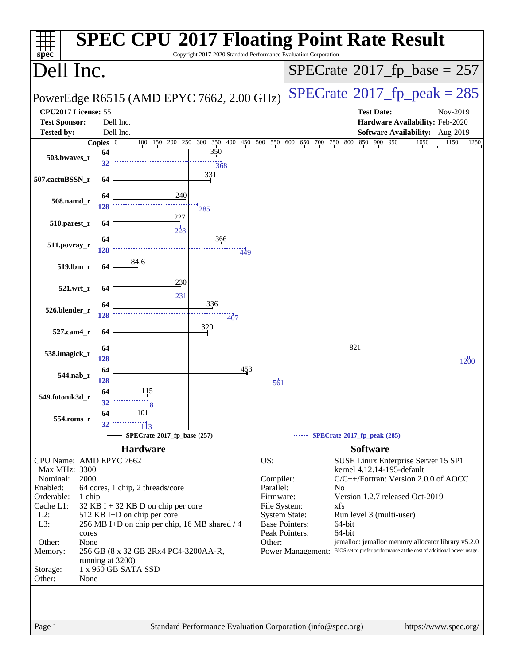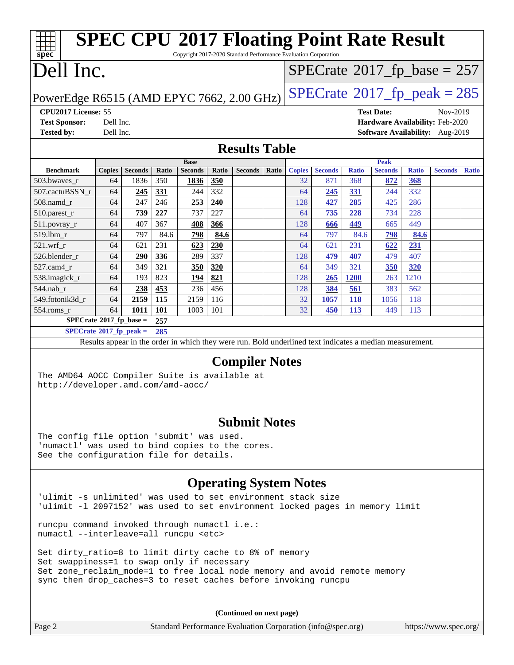| <b>SPEC CPU®2017 Floating Point Rate Result</b><br>Copyright 2017-2020 Standard Performance Evaluation Corporation<br>$spec^*$ |                                                                              |                |       |                |            |                                                                                                          |       |               |                |              |                   |              |                                 |              |
|--------------------------------------------------------------------------------------------------------------------------------|------------------------------------------------------------------------------|----------------|-------|----------------|------------|----------------------------------------------------------------------------------------------------------|-------|---------------|----------------|--------------|-------------------|--------------|---------------------------------|--------------|
| Dell Inc.<br>$SPECTate$ <sup>®</sup> 2017_fp_base = 257                                                                        |                                                                              |                |       |                |            |                                                                                                          |       |               |                |              |                   |              |                                 |              |
|                                                                                                                                | $SPECTate@2017_fp\_peak = 285$<br>PowerEdge R6515 (AMD EPYC 7662, 2.00 GHz)  |                |       |                |            |                                                                                                          |       |               |                |              |                   |              |                                 |              |
| CPU2017 License: 55                                                                                                            |                                                                              |                |       |                |            |                                                                                                          |       |               |                |              | <b>Test Date:</b> |              | Nov-2019                        |              |
| <b>Test Sponsor:</b>                                                                                                           | Dell Inc.                                                                    |                |       |                |            |                                                                                                          |       |               |                |              |                   |              | Hardware Availability: Feb-2020 |              |
| <b>Tested by:</b>                                                                                                              | Dell Inc.                                                                    |                |       |                |            |                                                                                                          |       |               |                |              |                   |              | Software Availability: Aug-2019 |              |
|                                                                                                                                |                                                                              |                |       |                |            | <b>Results Table</b>                                                                                     |       |               |                |              |                   |              |                                 |              |
|                                                                                                                                |                                                                              |                |       | <b>Base</b>    |            |                                                                                                          |       |               |                |              | <b>Peak</b>       |              |                                 |              |
| <b>Benchmark</b>                                                                                                               | <b>Copies</b>                                                                | <b>Seconds</b> | Ratio | <b>Seconds</b> | Ratio      | <b>Seconds</b>                                                                                           | Ratio | <b>Copies</b> | <b>Seconds</b> | <b>Ratio</b> | <b>Seconds</b>    | <b>Ratio</b> | <b>Seconds</b>                  | <b>Ratio</b> |
| 503.bwaves_r                                                                                                                   | 64                                                                           | 1836           | 350   | 1836           | 350        |                                                                                                          |       | 32            | 871            | 368          | 872               | 368          |                                 |              |
| 507.cactuBSSN_r                                                                                                                | 64                                                                           | 245            | 331   | 244            | 332        |                                                                                                          |       | 64            | 245            | 331          | 244               | 332          |                                 |              |
| 508.namd_r                                                                                                                     | 64                                                                           | 247            | 246   | 253            | 240        |                                                                                                          |       | 128           | 427            | 285          | 425               | 286          |                                 |              |
| 510.parest_r                                                                                                                   | 64                                                                           | 739            | 227   | 737            | 227        |                                                                                                          |       | 64            | 735            | 228          | 734               | 228          |                                 |              |
| 511.povray_r                                                                                                                   | 64                                                                           | 407            | 367   | 408            | 366        |                                                                                                          |       | 128           | 666            | 449          | 665               | 449          |                                 |              |
| 519.lbm_r                                                                                                                      | 64                                                                           | 797            | 84.6  | 798            | 84.6       |                                                                                                          |       | 64            | 797            | 84.6         | 798               | 84.6         |                                 |              |
| $521.wrf_r$                                                                                                                    | 64                                                                           | 621            | 231   | 623            | 230        |                                                                                                          |       | 64            | 621            | 231          | 622               | 231          |                                 |              |
| 526.blender_r                                                                                                                  | 64                                                                           | 290            | 336   | 289            | 337        |                                                                                                          |       | 128           | 479            | 407          | 479               | 407          |                                 |              |
| $527$ .cam $4r$                                                                                                                | 64                                                                           | 349            | 321   | 350            | <b>320</b> |                                                                                                          |       | 64            | 349            | 321          | <b>350</b>        | <b>320</b>   |                                 |              |
| 538.imagick_r                                                                                                                  | 64                                                                           | 193            | 823   | 194            | 821        |                                                                                                          |       | 128           | 265            | <b>1200</b>  | 263               | 1210         |                                 |              |
| 544.nab_r                                                                                                                      | 64                                                                           | 238            | 453   | 236            | 456        |                                                                                                          |       | 128           | 384            | 561          | 383               | 562          |                                 |              |
| 549.fotonik3d_r                                                                                                                | 64                                                                           | 2159           | 115   | 2159           | 116        |                                                                                                          |       | 32            | 1057           | <b>118</b>   | 1056              | 118          |                                 |              |
| 554.roms_r                                                                                                                     | 64                                                                           | 1011           | 101   | 1003           | 101        |                                                                                                          |       | 32            | 450            | <b>113</b>   | 449               | 113          |                                 |              |
| $SPECrate*2017_fp\_base =$                                                                                                     |                                                                              |                | 257   |                |            |                                                                                                          |       |               |                |              |                   |              |                                 |              |
| $SPECrate*2017_fp\_peak =$                                                                                                     |                                                                              |                | 285   |                |            |                                                                                                          |       |               |                |              |                   |              |                                 |              |
|                                                                                                                                |                                                                              |                |       |                |            | Results appear in the order in which they were run. Bold underlined text indicates a median measurement. |       |               |                |              |                   |              |                                 |              |
|                                                                                                                                |                                                                              |                |       |                |            | <b>Compiler Notes</b>                                                                                    |       |               |                |              |                   |              |                                 |              |
| The AMD64 AOCC Compiler Suite is available at                                                                                  |                                                                              |                |       |                |            |                                                                                                          |       |               |                |              |                   |              |                                 |              |
| http://developer.amd.com/amd-aocc/                                                                                             |                                                                              |                |       |                |            |                                                                                                          |       |               |                |              |                   |              |                                 |              |
|                                                                                                                                |                                                                              |                |       |                |            |                                                                                                          |       |               |                |              |                   |              |                                 |              |
|                                                                                                                                |                                                                              |                |       |                |            | <b>Submit Notes</b>                                                                                      |       |               |                |              |                   |              |                                 |              |
| The config file option 'submit' was used.                                                                                      |                                                                              |                |       |                |            |                                                                                                          |       |               |                |              |                   |              |                                 |              |
| 'numactl' was used to bind copies to the cores.                                                                                |                                                                              |                |       |                |            |                                                                                                          |       |               |                |              |                   |              |                                 |              |
| See the configuration file for details.                                                                                        |                                                                              |                |       |                |            |                                                                                                          |       |               |                |              |                   |              |                                 |              |
|                                                                                                                                | <b>Operating System Notes</b>                                                |                |       |                |            |                                                                                                          |       |               |                |              |                   |              |                                 |              |
| 'ulimit -s unlimited' was used to set environment stack size                                                                   |                                                                              |                |       |                |            |                                                                                                          |       |               |                |              |                   |              |                                 |              |
|                                                                                                                                |                                                                              |                |       |                |            |                                                                                                          |       |               |                |              |                   |              |                                 |              |
|                                                                                                                                | 'ulimit -1 2097152' was used to set environment locked pages in memory limit |                |       |                |            |                                                                                                          |       |               |                |              |                   |              |                                 |              |

runcpu command invoked through numactl i.e.: numactl --interleave=all runcpu <etc>

Set dirty\_ratio=8 to limit dirty cache to 8% of memory Set swappiness=1 to swap only if necessary Set zone\_reclaim\_mode=1 to free local node memory and avoid remote memory sync then drop\_caches=3 to reset caches before invoking runcpu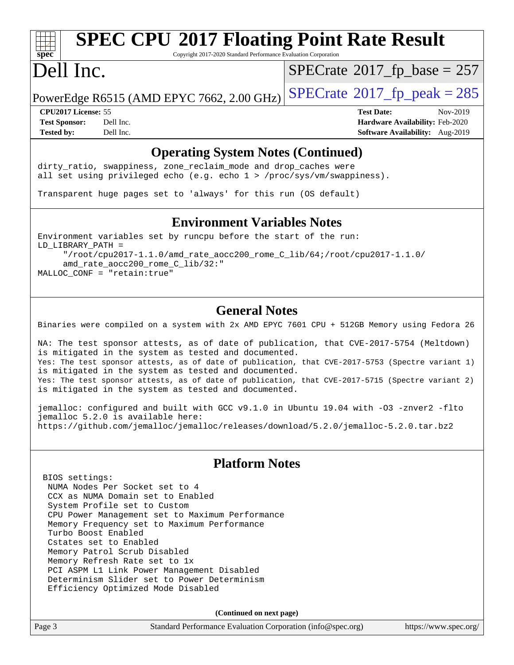# **[spec](http://www.spec.org/)**

## **[SPEC CPU](http://www.spec.org/auto/cpu2017/Docs/result-fields.html#SPECCPU2017FloatingPointRateResult)[2017 Floating Point Rate Result](http://www.spec.org/auto/cpu2017/Docs/result-fields.html#SPECCPU2017FloatingPointRateResult)**

Copyright 2017-2020 Standard Performance Evaluation Corporation

### Dell Inc.

 $SPECTate$ <sup>®</sup>[2017\\_fp\\_base =](http://www.spec.org/auto/cpu2017/Docs/result-fields.html#SPECrate2017fpbase) 257

PowerEdge R6515 (AMD EPYC 7662, 2.00 GHz)  $\text{SPECrate}$  $\text{SPECrate}$  $\text{SPECrate}$ <sup>®</sup>[2017\\_fp\\_peak = 2](http://www.spec.org/auto/cpu2017/Docs/result-fields.html#SPECrate2017fppeak)85

**[Test Sponsor:](http://www.spec.org/auto/cpu2017/Docs/result-fields.html#TestSponsor)** Dell Inc. **[Hardware Availability:](http://www.spec.org/auto/cpu2017/Docs/result-fields.html#HardwareAvailability)** Feb-2020 **[Tested by:](http://www.spec.org/auto/cpu2017/Docs/result-fields.html#Testedby)** Dell Inc. **[Software Availability:](http://www.spec.org/auto/cpu2017/Docs/result-fields.html#SoftwareAvailability)** Aug-2019

**[CPU2017 License:](http://www.spec.org/auto/cpu2017/Docs/result-fields.html#CPU2017License)** 55 **[Test Date:](http://www.spec.org/auto/cpu2017/Docs/result-fields.html#TestDate)** Nov-2019

### **[Operating System Notes \(Continued\)](http://www.spec.org/auto/cpu2017/Docs/result-fields.html#OperatingSystemNotes)**

dirty\_ratio, swappiness, zone\_reclaim\_mode and drop caches were all set using privileged echo (e.g. echo 1 > /proc/sys/vm/swappiness).

Transparent huge pages set to 'always' for this run (OS default)

#### **[Environment Variables Notes](http://www.spec.org/auto/cpu2017/Docs/result-fields.html#EnvironmentVariablesNotes)**

Environment variables set by runcpu before the start of the run: LD\_LIBRARY\_PATH = "/root/cpu2017-1.1.0/amd\_rate\_aocc200\_rome\_C\_lib/64;/root/cpu2017-1.1.0/ amd\_rate\_aocc200\_rome\_C\_lib/32:" MALLOC\_CONF = "retain:true"

### **[General Notes](http://www.spec.org/auto/cpu2017/Docs/result-fields.html#GeneralNotes)**

Binaries were compiled on a system with 2x AMD EPYC 7601 CPU + 512GB Memory using Fedora 26

NA: The test sponsor attests, as of date of publication, that CVE-2017-5754 (Meltdown) is mitigated in the system as tested and documented. Yes: The test sponsor attests, as of date of publication, that CVE-2017-5753 (Spectre variant 1) is mitigated in the system as tested and documented. Yes: The test sponsor attests, as of date of publication, that CVE-2017-5715 (Spectre variant 2) is mitigated in the system as tested and documented.

jemalloc: configured and built with GCC v9.1.0 in Ubuntu 19.04 with -O3 -znver2 -flto jemalloc 5.2.0 is available here: <https://github.com/jemalloc/jemalloc/releases/download/5.2.0/jemalloc-5.2.0.tar.bz2>

### **[Platform Notes](http://www.spec.org/auto/cpu2017/Docs/result-fields.html#PlatformNotes)**

 BIOS settings: NUMA Nodes Per Socket set to 4 CCX as NUMA Domain set to Enabled System Profile set to Custom CPU Power Management set to Maximum Performance Memory Frequency set to Maximum Performance Turbo Boost Enabled Cstates set to Enabled Memory Patrol Scrub Disabled Memory Refresh Rate set to 1x PCI ASPM L1 Link Power Management Disabled Determinism Slider set to Power Determinism Efficiency Optimized Mode Disabled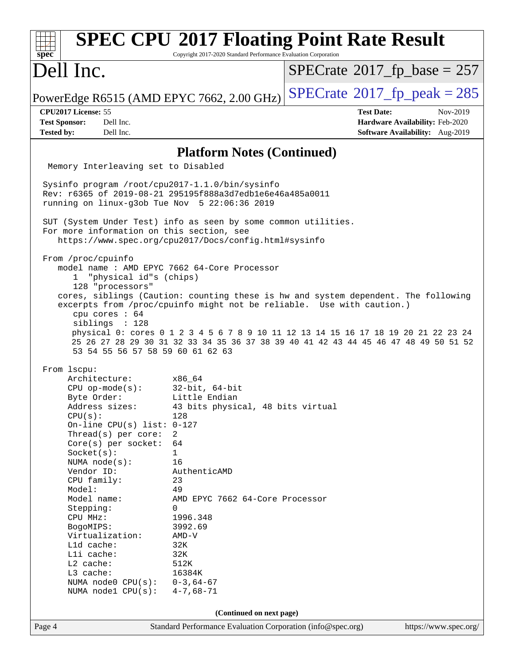| spec                                                                                                                                                                                                                                                                                                                                                                                                                                | Copyright 2017-2020 Standard Performance Evaluation Corporation                                                                                                                                                                                                                                     | <b>SPEC CPU®2017 Floating Point Rate Result</b>                                                                                                                                                                                                                                                                                          |
|-------------------------------------------------------------------------------------------------------------------------------------------------------------------------------------------------------------------------------------------------------------------------------------------------------------------------------------------------------------------------------------------------------------------------------------|-----------------------------------------------------------------------------------------------------------------------------------------------------------------------------------------------------------------------------------------------------------------------------------------------------|------------------------------------------------------------------------------------------------------------------------------------------------------------------------------------------------------------------------------------------------------------------------------------------------------------------------------------------|
| Dell Inc.                                                                                                                                                                                                                                                                                                                                                                                                                           |                                                                                                                                                                                                                                                                                                     | $SPECrate^{\circ}2017$ fp base = 257                                                                                                                                                                                                                                                                                                     |
| PowerEdge R6515 (AMD EPYC 7662, 2.00 GHz)                                                                                                                                                                                                                                                                                                                                                                                           |                                                                                                                                                                                                                                                                                                     | $SPECTate$ <sup>®</sup> 2017_fp_peak = 285                                                                                                                                                                                                                                                                                               |
| CPU2017 License: 55<br>Dell Inc.<br><b>Test Sponsor:</b><br>Dell Inc.<br><b>Tested by:</b>                                                                                                                                                                                                                                                                                                                                          |                                                                                                                                                                                                                                                                                                     | <b>Test Date:</b><br>Nov-2019<br>Hardware Availability: Feb-2020<br>Software Availability: Aug-2019                                                                                                                                                                                                                                      |
|                                                                                                                                                                                                                                                                                                                                                                                                                                     | <b>Platform Notes (Continued)</b>                                                                                                                                                                                                                                                                   |                                                                                                                                                                                                                                                                                                                                          |
| Memory Interleaving set to Disabled                                                                                                                                                                                                                                                                                                                                                                                                 |                                                                                                                                                                                                                                                                                                     |                                                                                                                                                                                                                                                                                                                                          |
| Sysinfo program /root/cpu2017-1.1.0/bin/sysinfo<br>Rev: r6365 of 2019-08-21 295195f888a3d7edble6e46a485a0011<br>running on $linux-q3ob$ Tue Nov $5$ 22:06:36 2019<br>SUT (System Under Test) info as seen by some common utilities.                                                                                                                                                                                                 |                                                                                                                                                                                                                                                                                                     |                                                                                                                                                                                                                                                                                                                                          |
| For more information on this section, see                                                                                                                                                                                                                                                                                                                                                                                           | https://www.spec.org/cpu2017/Docs/config.html#sysinfo                                                                                                                                                                                                                                               |                                                                                                                                                                                                                                                                                                                                          |
| From /proc/cpuinfo<br>model name: AMD EPYC 7662 64-Core Processor<br>"physical id"s (chips)<br>$\mathbf{1}$<br>128 "processors"<br>cpu cores : 64<br>siblings : 128<br>53 54 55 56 57 58 59 60 61 62 63                                                                                                                                                                                                                             |                                                                                                                                                                                                                                                                                                     | cores, siblings (Caution: counting these is hw and system dependent. The following<br>excerpts from /proc/cpuinfo might not be reliable. Use with caution.)<br>physical 0: cores 0 1 2 3 4 5 6 7 8 9 10 11 12 13 14 15 16 17 18 19 20 21 22 23 24<br>25 26 27 28 29 30 31 32 33 34 35 36 37 38 39 40 41 42 43 44 45 46 47 48 49 50 51 52 |
| From lscpu:<br>Architecture:<br>$CPU$ op-mode( $s$ ):<br>Byte Order:<br>Address sizes:<br>CPU(s):<br>On-line CPU(s) list: $0-127$<br>Thread(s) per core:<br>$Core(s)$ per socket:<br>Socket(s):<br>NUMA $node(s):$<br>Vendor ID:<br>CPU family:<br>Model:<br>Model name:<br>Stepping:<br>CPU MHz:<br>BogoMIPS:<br>Virtualization:<br>L1d cache:<br>Lli cache:<br>L2 cache:<br>L3 cache:<br>NUMA node0 CPU(s):<br>NUMA nodel CPU(s): | x86 64<br>32-bit, 64-bit<br>Little Endian<br>43 bits physical, 48 bits virtual<br>128<br>2<br>64<br>$\mathbf{1}$<br>16<br>AuthenticAMD<br>23<br>49<br>AMD EPYC 7662 64-Core Processor<br>0<br>1996.348<br>3992.69<br>$AMD-V$<br>32K<br>32K<br>512K<br>16384K<br>$0 - 3, 64 - 67$<br>$4 - 7,68 - 71$ |                                                                                                                                                                                                                                                                                                                                          |
|                                                                                                                                                                                                                                                                                                                                                                                                                                     | (Continued on next page)                                                                                                                                                                                                                                                                            |                                                                                                                                                                                                                                                                                                                                          |
| Page 4                                                                                                                                                                                                                                                                                                                                                                                                                              | Standard Performance Evaluation Corporation (info@spec.org)                                                                                                                                                                                                                                         | https://www.spec.org/                                                                                                                                                                                                                                                                                                                    |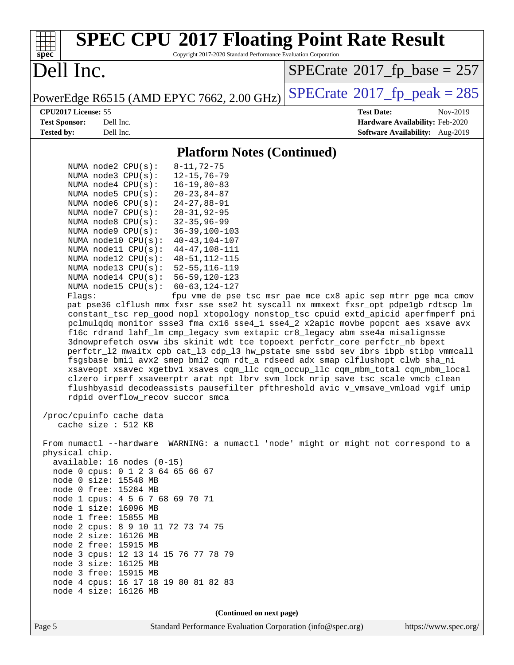| <b>SPEC CPU®2017 Floating Point Rate Result</b><br>Copyright 2017-2020 Standard Performance Evaluation Corporation                                                                                                                                                                                                                                                                                                                                                                                                                                                                                                                                                                                                                                                                                                                                                                                                                                                                                                                                                                                                                                                                                                                                                                                                                                                                                                                                                                                                                                                                                                                                                                                                                                                                                                                                                                                                                                                                                                                                                                                                                                                                                                                                            |                                                                  |
|---------------------------------------------------------------------------------------------------------------------------------------------------------------------------------------------------------------------------------------------------------------------------------------------------------------------------------------------------------------------------------------------------------------------------------------------------------------------------------------------------------------------------------------------------------------------------------------------------------------------------------------------------------------------------------------------------------------------------------------------------------------------------------------------------------------------------------------------------------------------------------------------------------------------------------------------------------------------------------------------------------------------------------------------------------------------------------------------------------------------------------------------------------------------------------------------------------------------------------------------------------------------------------------------------------------------------------------------------------------------------------------------------------------------------------------------------------------------------------------------------------------------------------------------------------------------------------------------------------------------------------------------------------------------------------------------------------------------------------------------------------------------------------------------------------------------------------------------------------------------------------------------------------------------------------------------------------------------------------------------------------------------------------------------------------------------------------------------------------------------------------------------------------------------------------------------------------------------------------------------------------------|------------------------------------------------------------------|
| $spec^*$<br>Dell Inc.                                                                                                                                                                                                                                                                                                                                                                                                                                                                                                                                                                                                                                                                                                                                                                                                                                                                                                                                                                                                                                                                                                                                                                                                                                                                                                                                                                                                                                                                                                                                                                                                                                                                                                                                                                                                                                                                                                                                                                                                                                                                                                                                                                                                                                         | $SPECrate^{\circ}2017$ [p base = 257                             |
| PowerEdge R6515 (AMD EPYC 7662, 2.00 GHz)                                                                                                                                                                                                                                                                                                                                                                                                                                                                                                                                                                                                                                                                                                                                                                                                                                                                                                                                                                                                                                                                                                                                                                                                                                                                                                                                                                                                                                                                                                                                                                                                                                                                                                                                                                                                                                                                                                                                                                                                                                                                                                                                                                                                                     | $SPECTate$ <sup>®</sup> 2017_fp_peak = 285                       |
| CPU2017 License: 55<br><b>Test Sponsor:</b><br>Dell Inc.                                                                                                                                                                                                                                                                                                                                                                                                                                                                                                                                                                                                                                                                                                                                                                                                                                                                                                                                                                                                                                                                                                                                                                                                                                                                                                                                                                                                                                                                                                                                                                                                                                                                                                                                                                                                                                                                                                                                                                                                                                                                                                                                                                                                      | <b>Test Date:</b><br>Nov-2019<br>Hardware Availability: Feb-2020 |
| <b>Tested by:</b><br>Dell Inc.                                                                                                                                                                                                                                                                                                                                                                                                                                                                                                                                                                                                                                                                                                                                                                                                                                                                                                                                                                                                                                                                                                                                                                                                                                                                                                                                                                                                                                                                                                                                                                                                                                                                                                                                                                                                                                                                                                                                                                                                                                                                                                                                                                                                                                | Software Availability: Aug-2019                                  |
| <b>Platform Notes (Continued)</b>                                                                                                                                                                                                                                                                                                                                                                                                                                                                                                                                                                                                                                                                                                                                                                                                                                                                                                                                                                                                                                                                                                                                                                                                                                                                                                                                                                                                                                                                                                                                                                                                                                                                                                                                                                                                                                                                                                                                                                                                                                                                                                                                                                                                                             |                                                                  |
| NUMA $node2$ $CPU(s)$ :<br>$8 - 11, 72 - 75$<br>$12 - 15, 76 - 79$<br>NUMA $node3$ $CPU(s)$ :<br>$16 - 19, 80 - 83$<br>NUMA node4 CPU(s):<br>$20 - 23, 84 - 87$<br>NUMA $node5$ $CPU(s)$ :<br>NUMA node6 CPU(s):<br>$24 - 27, 88 - 91$<br>NUMA node7 CPU(s):<br>$28 - 31, 92 - 95$<br>NUMA node8 CPU(s):<br>$32 - 35, 96 - 99$<br>NUMA node9 CPU(s):<br>$36 - 39, 100 - 103$<br>$40 - 43, 104 - 107$<br>NUMA node10 CPU(s):<br>NUMA $model1$ CPU( $s$ ):<br>$44 - 47, 108 - 111$<br>NUMA $node12$ CPU $(s)$ :<br>48-51, 112-115<br>NUMA $node13$ CPU $(s)$ :<br>$52 - 55, 116 - 119$<br>NUMA node14 CPU(s):<br>$56 - 59, 120 - 123$<br>NUMA $node15$ CPU $(s)$ :<br>$60 - 63, 124 - 127$<br>Flagg:<br>pat pse36 clflush mmx fxsr sse sse2 ht syscall nx mmxext fxsr_opt pdpe1gb rdtscp lm<br>constant_tsc rep_good nopl xtopology nonstop_tsc cpuid extd_apicid aperfmperf pni<br>pclmulqdq monitor ssse3 fma cx16 sse4_1 sse4_2 x2apic movbe popcnt aes xsave avx<br>f16c rdrand lahf_lm cmp_legacy svm extapic cr8_legacy abm sse4a misalignsse<br>3dnowprefetch osvw ibs skinit wdt tce topoext perfctr_core perfctr_nb bpext<br>perfctr_12 mwaitx cpb cat_13 cdp_13 hw_pstate sme ssbd sev ibrs ibpb stibp vmmcall<br>fsgsbase bmil avx2 smep bmi2 cqm rdt_a rdseed adx smap clflushopt clwb sha_ni<br>xsaveopt xsavec xgetbvl xsaves cqm_llc cqm_occup_llc cqm_mbm_total cqm_mbm_local<br>clzero irperf xsaveerptr arat npt lbrv svm_lock nrip_save tsc_scale vmcb_clean<br>flushbyasid decodeassists pausefilter pfthreshold avic v_vmsave_vmload vgif umip<br>rdpid overflow_recov succor smca<br>/proc/cpuinfo cache data<br>cache size : 512 KB<br>From numactl --hardware WARNING: a numactl 'node' might or might not correspond to a<br>physical chip.<br>$available: 16 nodes (0-15)$<br>node 0 cpus: 0 1 2 3 64 65 66 67<br>node 0 size: 15548 MB<br>node 0 free: 15284 MB<br>node 1 cpus: 4 5 6 7 68 69 70 71<br>node 1 size: 16096 MB<br>node 1 free: 15855 MB<br>node 2 cpus: 8 9 10 11 72 73 74 75<br>node 2 size: 16126 MB<br>node 2 free: 15915 MB<br>node 3 cpus: 12 13 14 15 76 77 78 79<br>node 3 size: 16125 MB<br>node 3 free: 15915 MB<br>node 4 cpus: 16 17 18 19 80 81 82 83<br>node 4 size: 16126 MB<br>(Continued on next page) | fpu vme de pse tsc msr pae mce cx8 apic sep mtrr pge mca cmov    |
| Page 5<br>Standard Performance Evaluation Corporation (info@spec.org)                                                                                                                                                                                                                                                                                                                                                                                                                                                                                                                                                                                                                                                                                                                                                                                                                                                                                                                                                                                                                                                                                                                                                                                                                                                                                                                                                                                                                                                                                                                                                                                                                                                                                                                                                                                                                                                                                                                                                                                                                                                                                                                                                                                         | https://www.spec.org/                                            |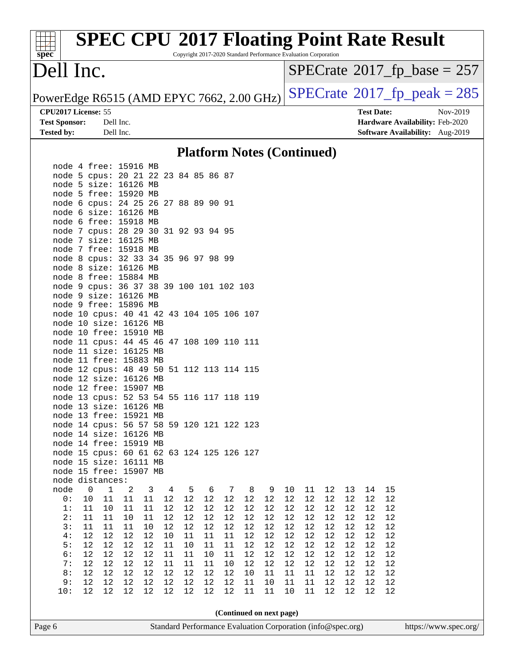|                            |           | <b>SPEC CPU®2017 Floating Point Rate Result</b>                 |                   |                                             |
|----------------------------|-----------|-----------------------------------------------------------------|-------------------|---------------------------------------------|
| spec<br>Dell Inc.          |           | Copyright 2017-2020 Standard Performance Evaluation Corporation |                   |                                             |
|                            |           |                                                                 |                   | $SPECrate^{\circledcirc}2017$ fp base = 257 |
|                            |           | PowerEdge R6515 (AMD EPYC 7662, 2.00 GHz)                       |                   | $SPECrate^{\circ}2017$ _fp_peak = 285       |
| <b>CPU2017 License: 55</b> |           |                                                                 | <b>Test Date:</b> | Nov-2019                                    |
| <b>Test Sponsor:</b>       | Dell Inc. |                                                                 |                   | <b>Hardware Availability: Feb-2020</b>      |
| <b>Tested by:</b>          | Dell Inc. |                                                                 |                   | Software Availability: Aug-2019             |
|                            |           | <b>Platform Notes (Continued)</b>                               |                   |                                             |

|      | node 4 free: 15916 MB                     |                |                                                                            |                         |        |             |    |                          |        |        |        |        |        |        |        |    |
|------|-------------------------------------------|----------------|----------------------------------------------------------------------------|-------------------------|--------|-------------|----|--------------------------|--------|--------|--------|--------|--------|--------|--------|----|
|      | node 5 cpus: 20 21 22 23 84 85 86 87      |                |                                                                            |                         |        |             |    |                          |        |        |        |        |        |        |        |    |
|      | node 5 size: 16126 MB                     |                |                                                                            |                         |        |             |    |                          |        |        |        |        |        |        |        |    |
|      | node 5 free: 15920 MB                     |                |                                                                            |                         |        |             |    |                          |        |        |        |        |        |        |        |    |
|      | node 6 cpus: 24 25 26 27 88 89 90 91      |                |                                                                            |                         |        |             |    |                          |        |        |        |        |        |        |        |    |
|      | node 6 size: 16126 MB                     |                |                                                                            |                         |        |             |    |                          |        |        |        |        |        |        |        |    |
|      | node 6 free: 15918 MB                     |                |                                                                            |                         |        |             |    |                          |        |        |        |        |        |        |        |    |
|      | node 7 cpus: 28 29 30 31 92 93 94 95      |                |                                                                            |                         |        |             |    |                          |        |        |        |        |        |        |        |    |
|      | node 7 size: 16125 MB                     |                |                                                                            |                         |        |             |    |                          |        |        |        |        |        |        |        |    |
|      | node 7 free: 15918 MB                     |                |                                                                            |                         |        |             |    |                          |        |        |        |        |        |        |        |    |
|      | node 8 cpus: 32 33 34 35 96 97 98 99      |                |                                                                            |                         |        |             |    |                          |        |        |        |        |        |        |        |    |
|      | node 8 size: 16126 MB                     |                |                                                                            |                         |        |             |    |                          |        |        |        |        |        |        |        |    |
|      | node 8 free: 15884 MB                     |                |                                                                            |                         |        |             |    |                          |        |        |        |        |        |        |        |    |
|      | node 9 cpus: 36 37 38 39 100 101 102 103  |                |                                                                            |                         |        |             |    |                          |        |        |        |        |        |        |        |    |
|      | node 9 size: 16126 MB                     |                |                                                                            |                         |        |             |    |                          |        |        |        |        |        |        |        |    |
|      | node 9 free: 15896 MB                     |                |                                                                            |                         |        |             |    |                          |        |        |        |        |        |        |        |    |
|      | node 10 cpus: 40 41 42 43 104 105 106 107 |                |                                                                            |                         |        |             |    |                          |        |        |        |        |        |        |        |    |
|      | node 10 size: 16126 MB                    |                |                                                                            |                         |        |             |    |                          |        |        |        |        |        |        |        |    |
|      | node 10 free: 15910 MB                    |                |                                                                            |                         |        |             |    |                          |        |        |        |        |        |        |        |    |
|      | node 11 cpus: 44 45 46 47 108 109 110 111 |                |                                                                            |                         |        |             |    |                          |        |        |        |        |        |        |        |    |
|      | node 11 size: 16125 MB                    |                |                                                                            |                         |        |             |    |                          |        |        |        |        |        |        |        |    |
|      | node 11 free: 15883 MB                    |                |                                                                            |                         |        |             |    |                          |        |        |        |        |        |        |        |    |
|      | node 12 cpus: 48 49 50 51 112 113 114 115 |                |                                                                            |                         |        |             |    |                          |        |        |        |        |        |        |        |    |
|      | node 12 size: 16126 MB                    |                |                                                                            |                         |        |             |    |                          |        |        |        |        |        |        |        |    |
|      | node 12 free: 15907 MB                    |                |                                                                            |                         |        |             |    |                          |        |        |        |        |        |        |        |    |
|      | node 13 cpus: 52 53 54 55 116 117 118 119 |                |                                                                            |                         |        |             |    |                          |        |        |        |        |        |        |        |    |
|      | node 13 size: 16126 MB                    |                |                                                                            |                         |        |             |    |                          |        |        |        |        |        |        |        |    |
|      | node 13 free: 15921 MB                    |                |                                                                            |                         |        |             |    |                          |        |        |        |        |        |        |        |    |
|      | node 14 cpus: 56 57 58 59 120 121 122 123 |                |                                                                            |                         |        |             |    |                          |        |        |        |        |        |        |        |    |
|      | node 14 size: 16126 MB                    |                |                                                                            |                         |        |             |    |                          |        |        |        |        |        |        |        |    |
|      | node 14 free: 15919 MB                    |                |                                                                            |                         |        |             |    |                          |        |        |        |        |        |        |        |    |
|      | node 15 cpus: 60 61 62 63 124 125 126 127 |                |                                                                            |                         |        |             |    |                          |        |        |        |        |        |        |        |    |
|      | node 15 size: 16111 MB                    |                |                                                                            |                         |        |             |    |                          |        |        |        |        |        |        |        |    |
|      | node 15 free: 15907 MB                    |                |                                                                            |                         |        |             |    |                          |        |        |        |        |        |        |        |    |
|      | node distances:                           |                |                                                                            |                         |        |             |    |                          |        |        |        |        |        |        |        |    |
| node | $\overline{0}$                            | $\overline{1}$ | $\overline{a}$                                                             | $\overline{\mathbf{3}}$ |        | 4 5 6 7 8 9 |    |                          |        |        | 10     | 11     | 12     | 13     | 14     | 15 |
| 0:   | 10                                        | 11             | 11                                                                         | 11                      | 12     | 12          | 12 | 12                       | 12     | 12     | 12     | 12     | 12     | 12     | 12     | 12 |
| 1:   | 11                                        | 10             | 11                                                                         | 11                      | 12     | 12          | 12 | 12                       | 12     | 12     | 12     | 12     | 12     | 12     | 12     | 12 |
| 2:   | 11                                        | 11             | 10                                                                         | 11                      | 12     | 12          | 12 | 12                       | 12     | 12     | 12     | 12     | 12     | 12     | 12     | 12 |
| 3:   | 11                                        | 11             | 11                                                                         | 10                      | 12     | 12          | 12 | 12                       | 12     | 12     | $12\,$ | 12     | 12     | 12     | 12     | 12 |
| 4 :  |                                           |                | 12    12    12    12    10    11    11    11    12    12    12    12    12 |                         |        |             |    |                          |        |        |        |        |        | 12     | 12     | 12 |
| 5:   | 12                                        | 12             | 12                                                                         | 12                      | 11     | 10          | 11 | 11                       | 12     | 12     | 12     | $12$   | 12     | $12$   | 12     | 12 |
| 6:   | 12                                        | $12$           | $12$                                                                       | 12                      | $11\,$ | 11          | 10 | 11                       | 12     | $12$   | 12     | $12$   | 12     | $12\,$ | 12     | 12 |
| 7:   | 12                                        | 12             | $1\,2$                                                                     | $12\,$                  | 11     | 11          | 11 | $10$                     | 12     | $12\,$ | $1\,2$ | $1\,2$ | $12\,$ | 12     | 12     | 12 |
| 8:   | 12                                        | 12             | 12                                                                         | $12\,$                  | $12$   | 12          | 12 | 12                       | $10$   | 11     | $11\,$ | 11     | $12\,$ | $12$   | $12\,$ | 12 |
| 9:   | $12$                                      | 12             | $1\,2$                                                                     | $1\,2$                  | 12     | $12$        | 12 | $12$                     | 11     | $10$   | 11     | 11     | $1\,2$ | $1\,2$ | $12\,$ | 12 |
| 10:  | 12                                        | 12             | 12                                                                         | 12                      | 12     | $12$        | 12 | $12$                     | $11\,$ | $11\,$ | $10$   | $11\,$ | $12$   | $12$   | $12$   | 12 |
|      |                                           |                |                                                                            |                         |        |             |    |                          |        |        |        |        |        |        |        |    |
|      |                                           |                |                                                                            |                         |        |             |    |                          |        |        |        |        |        |        |        |    |
|      |                                           |                |                                                                            |                         |        |             |    | (Continued on next page) |        |        |        |        |        |        |        |    |

Page 6 Standard Performance Evaluation Corporation [\(info@spec.org\)](mailto:info@spec.org) <https://www.spec.org/>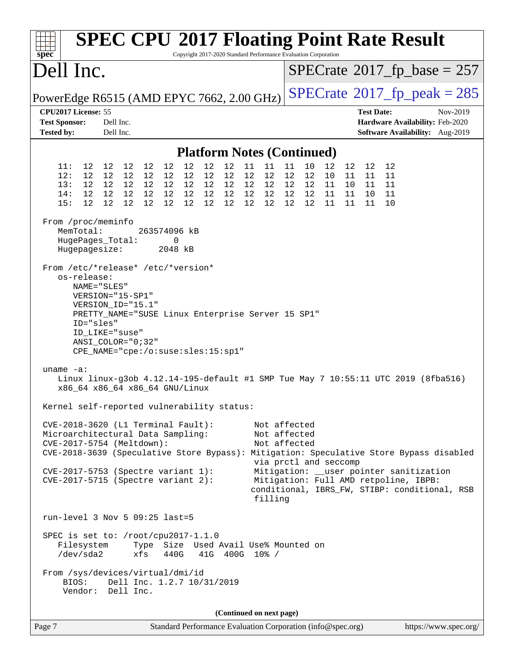| $spec^*$                                                                                                                                                                                                                                                                          |                                                                               |                                     | <b>SPEC CPU®2017 Floating Point Rate Result</b>                                                                                                                                                                                                             |                                                             |                        |                      |                |                                          | Copyright 2017-2020 Standard Performance Evaluation Corporation                                                                                                                                                       |                               |                                            |                |                            |                   |                                                                    |  |          |                                            |
|-----------------------------------------------------------------------------------------------------------------------------------------------------------------------------------------------------------------------------------------------------------------------------------|-------------------------------------------------------------------------------|-------------------------------------|-------------------------------------------------------------------------------------------------------------------------------------------------------------------------------------------------------------------------------------------------------------|-------------------------------------------------------------|------------------------|----------------------|----------------|------------------------------------------|-----------------------------------------------------------------------------------------------------------------------------------------------------------------------------------------------------------------------|-------------------------------|--------------------------------------------|----------------|----------------------------|-------------------|--------------------------------------------------------------------|--|----------|--------------------------------------------|
| Dell Inc.                                                                                                                                                                                                                                                                         |                                                                               |                                     |                                                                                                                                                                                                                                                             |                                                             |                        |                      |                |                                          |                                                                                                                                                                                                                       |                               |                                            |                |                            |                   |                                                                    |  |          | $SPECrate^{\circ}2017$ _fp_base = 257      |
| PowerEdge R6515 (AMD EPYC 7662, 2.00 GHz)                                                                                                                                                                                                                                         |                                                                               |                                     |                                                                                                                                                                                                                                                             |                                                             |                        |                      |                |                                          |                                                                                                                                                                                                                       |                               |                                            |                |                            |                   |                                                                    |  |          | $SPECTate$ <sup>®</sup> 2017_fp_peak = 285 |
| CPU2017 License: 55<br><b>Test Sponsor:</b><br><b>Tested by:</b>                                                                                                                                                                                                                  |                                                                               | Dell Inc.<br>Dell Inc.              |                                                                                                                                                                                                                                                             |                                                             |                        |                      |                |                                          |                                                                                                                                                                                                                       |                               |                                            |                |                            | <b>Test Date:</b> | Hardware Availability: Feb-2020<br>Software Availability: Aug-2019 |  | Nov-2019 |                                            |
|                                                                                                                                                                                                                                                                                   |                                                                               |                                     |                                                                                                                                                                                                                                                             |                                                             |                        |                      |                |                                          |                                                                                                                                                                                                                       |                               |                                            |                |                            |                   |                                                                    |  |          |                                            |
|                                                                                                                                                                                                                                                                                   |                                                                               |                                     |                                                                                                                                                                                                                                                             |                                                             |                        |                      |                |                                          | <b>Platform Notes (Continued)</b>                                                                                                                                                                                     |                               |                                            |                |                            |                   |                                                                    |  |          |                                            |
| 11:<br>12:<br>13:<br>14:<br>15:                                                                                                                                                                                                                                                   | 12 12 12<br>12<br>12<br>12<br>12 <sup>°</sup>                                 | 12 12<br>12 12<br>12 12<br>12<br>12 | 12<br>12<br>12<br>12<br>12                                                                                                                                                                                                                                  | 12<br>12 12<br>12 12<br>12 <sup>°</sup>                     | 12<br>12  12  12<br>12 | 12<br>12<br>12<br>12 | 12<br>12<br>12 | 11<br>12<br>12 12 12<br>12  12  12<br>12 | 11<br>12<br>12                                                                                                                                                                                                        | 11<br>12<br>$12 \overline{ }$ | 10<br>12<br>12  12  11<br>12  12  11<br>12 | 12<br>10<br>11 | 12<br>11<br>10<br>11<br>11 | 11<br>11          | 12 12<br>11<br>11 11<br>10 11<br>10                                |  |          |                                            |
| From /proc/meminfo<br>MemTotal:                                                                                                                                                                                                                                                   | HugePages_Total:<br>Hugepagesize:                                             |                                     |                                                                                                                                                                                                                                                             | 263574096 kB<br>0<br>2048 kB                                |                        |                      |                |                                          |                                                                                                                                                                                                                       |                               |                                            |                |                            |                   |                                                                    |  |          |                                            |
| From /etc/*release* /etc/*version*<br>$uname -a:$<br>Kernel self-reported vulnerability status:                                                                                                                                                                                   | os-release:<br>NAME="SLES"<br>VERSION="15-SP1"<br>ID="sles"<br>ID LIKE="suse" |                                     | VERSION_ID="15.1"<br>PRETTY_NAME="SUSE Linux Enterprise Server 15 SP1"<br>$ANSI$ _COLOR="0;32"<br>CPE_NAME="cpe:/o:suse:sles:15:sp1"<br>Linux linux-g3ob 4.12.14-195-default #1 SMP Tue May 7 10:55:11 UTC 2019 (8fba516)<br>x86_64 x86_64 x86_64 GNU/Linux |                                                             |                        |                      |                |                                          |                                                                                                                                                                                                                       |                               |                                            |                |                            |                   |                                                                    |  |          |                                            |
| $CVE-2018-3620$ (L1 Terminal Fault):<br>Microarchitectural Data Sampling:<br>CVE-2017-5754 (Meltdown):<br>CVE-2018-3639 (Speculative Store Bypass): Mitigation: Speculative Store Bypass disabled<br>$CVE-2017-5753$ (Spectre variant 1):<br>$CVE-2017-5715$ (Spectre variant 2): |                                                                               |                                     |                                                                                                                                                                                                                                                             |                                                             |                        |                      |                |                                          | Not affected<br>Not affected<br>Not affected<br>via prctl and seccomp<br>Mitigation: __user pointer sanitization<br>Mitigation: Full AMD retpoline, IBPB:<br>conditional, IBRS_FW, STIBP: conditional, RSB<br>filling |                               |                                            |                |                            |                   |                                                                    |  |          |                                            |
| run-level 3 Nov 5 09:25 last=5<br>SPEC is set to: /root/cpu2017-1.1.0<br>From /sys/devices/virtual/dmi/id<br>BIOS:                                                                                                                                                                | Filesystem<br>/dev/sda2<br>Vendor: Dell Inc.                                  |                                     | Type Size Used Avail Use% Mounted on<br>xfs<br>Dell Inc. 1.2.7 10/31/2019                                                                                                                                                                                   | 440G                                                        |                        |                      |                |                                          | 41G 400G 10% /                                                                                                                                                                                                        |                               |                                            |                |                            |                   |                                                                    |  |          |                                            |
|                                                                                                                                                                                                                                                                                   |                                                                               |                                     |                                                                                                                                                                                                                                                             |                                                             |                        |                      |                |                                          | (Continued on next page)                                                                                                                                                                                              |                               |                                            |                |                            |                   |                                                                    |  |          |                                            |
| Page 7                                                                                                                                                                                                                                                                            |                                                                               |                                     |                                                                                                                                                                                                                                                             | Standard Performance Evaluation Corporation (info@spec.org) |                        |                      |                |                                          |                                                                                                                                                                                                                       |                               |                                            |                |                            |                   |                                                                    |  |          | https://www.spec.org/                      |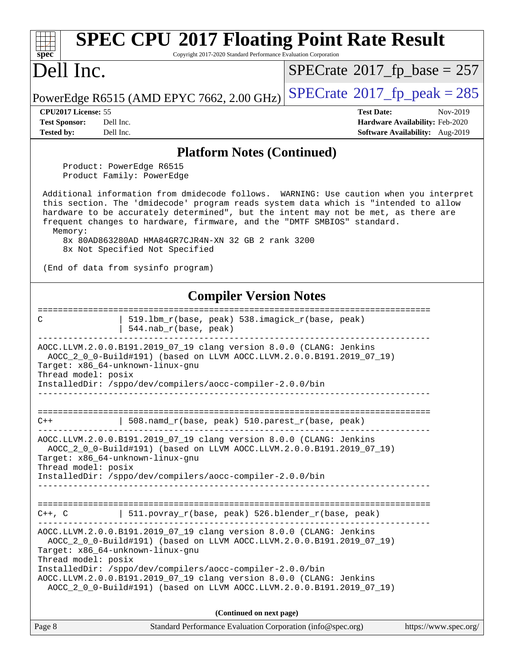| <b>SPEC CPU®2017 Floating Point Rate Result</b><br>Copyright 2017-2020 Standard Performance Evaluation Corporation<br>spec                                                                                                                                                                                                                                                                                                                        |                                                                                                            |
|---------------------------------------------------------------------------------------------------------------------------------------------------------------------------------------------------------------------------------------------------------------------------------------------------------------------------------------------------------------------------------------------------------------------------------------------------|------------------------------------------------------------------------------------------------------------|
| Dell Inc.                                                                                                                                                                                                                                                                                                                                                                                                                                         | $SPECrate^{\circ}2017$ fp base = 257                                                                       |
| PowerEdge R6515 (AMD EPYC 7662, 2.00 GHz)                                                                                                                                                                                                                                                                                                                                                                                                         | $SPECrate^{\circ}2017$ _fp_peak = 285                                                                      |
| CPU <sub>2017</sub> License: 55<br><b>Test Sponsor:</b><br>Dell Inc.<br>Dell Inc.<br><b>Tested by:</b>                                                                                                                                                                                                                                                                                                                                            | <b>Test Date:</b><br>Nov-2019<br><b>Hardware Availability: Feb-2020</b><br>Software Availability: Aug-2019 |
| <b>Platform Notes (Continued)</b>                                                                                                                                                                                                                                                                                                                                                                                                                 |                                                                                                            |
| Product: PowerEdge R6515<br>Product Family: PowerEdge                                                                                                                                                                                                                                                                                                                                                                                             |                                                                                                            |
| Additional information from dmidecode follows. WARNING: Use caution when you interpret<br>this section. The 'dmidecode' program reads system data which is "intended to allow<br>hardware to be accurately determined", but the intent may not be met, as there are<br>frequent changes to hardware, firmware, and the "DMTF SMBIOS" standard.<br>Memory:<br>8x 80AD863280AD HMA84GR7CJR4N-XN 32 GB 2 rank 3200<br>8x Not Specified Not Specified |                                                                                                            |
| (End of data from sysinfo program)                                                                                                                                                                                                                                                                                                                                                                                                                |                                                                                                            |
| <b>Compiler Version Notes</b>                                                                                                                                                                                                                                                                                                                                                                                                                     |                                                                                                            |
| 519.1bm_r(base, peak) 538.imagick_r(base, peak)<br>C<br>544.nab_r(base, peak)                                                                                                                                                                                                                                                                                                                                                                     |                                                                                                            |
| AOCC.LLVM.2.0.0.B191.2019_07_19 clang version 8.0.0 (CLANG: Jenkins<br>AOCC_2_0_0-Build#191) (based on LLVM AOCC.LLVM.2.0.0.B191.2019_07_19)<br>Target: x86 64-unknown-linux-gnu<br>Thread model: posix<br>InstalledDir: /sppo/dev/compilers/aocc-compiler-2.0.0/bin                                                                                                                                                                              |                                                                                                            |
| 508.namd_r(base, peak) 510.parest_r(base, peak)<br>C++                                                                                                                                                                                                                                                                                                                                                                                            |                                                                                                            |
| AOCC.LLVM.2.0.0.B191.2019_07_19 clang version 8.0.0 (CLANG: Jenkins<br>AOCC_2_0_0-Build#191) (based on LLVM AOCC.LLVM.2.0.0.B191.2019_07_19)<br>Target: x86_64-unknown-linux-gnu<br>Thread model: posix<br>InstalledDir: /sppo/dev/compilers/aocc-compiler-2.0.0/bin                                                                                                                                                                              |                                                                                                            |
| 511.povray_r(base, peak) 526.blender_r(base, peak)<br>$C++$ , $C$                                                                                                                                                                                                                                                                                                                                                                                 |                                                                                                            |
| AOCC.LLVM.2.0.0.B191.2019_07_19 clang version 8.0.0 (CLANG: Jenkins<br>AOCC_2_0_0-Build#191) (based on LLVM AOCC.LLVM.2.0.0.B191.2019_07_19)<br>Target: x86_64-unknown-linux-gnu<br>Thread model: posix<br>InstalledDir: /sppo/dev/compilers/aocc-compiler-2.0.0/bin<br>AOCC.LLVM.2.0.0.B191.2019_07_19 clang version 8.0.0 (CLANG: Jenkins<br>AOCC_2_0_0-Build#191) (based on LLVM AOCC.LLVM.2.0.0.B191.2019_07_19)                              |                                                                                                            |
| (Continued on next page)                                                                                                                                                                                                                                                                                                                                                                                                                          |                                                                                                            |
| Page 8<br>Standard Performance Evaluation Corporation (info@spec.org)                                                                                                                                                                                                                                                                                                                                                                             | https://www.spec.org/                                                                                      |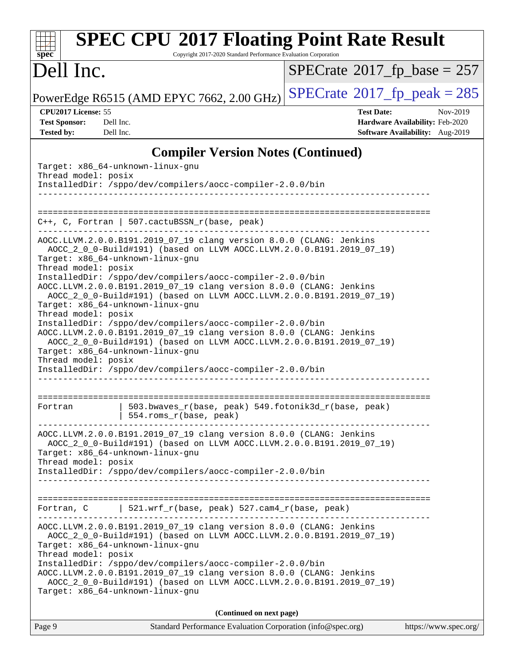| <b>SPEC CPU®2017 Floating Point Rate Result</b><br>Copyright 2017-2020 Standard Performance Evaluation Corporation<br>$sp\overline{ec}$                                                                                                                                                                                                                                                                                                                                                                                                                                                                             |                                                                                                     |
|---------------------------------------------------------------------------------------------------------------------------------------------------------------------------------------------------------------------------------------------------------------------------------------------------------------------------------------------------------------------------------------------------------------------------------------------------------------------------------------------------------------------------------------------------------------------------------------------------------------------|-----------------------------------------------------------------------------------------------------|
| Dell Inc.                                                                                                                                                                                                                                                                                                                                                                                                                                                                                                                                                                                                           | $SPECrate$ <sup>®</sup> 2017_fp_base = 257                                                          |
| PowerEdge R6515 (AMD EPYC 7662, 2.00 GHz)                                                                                                                                                                                                                                                                                                                                                                                                                                                                                                                                                                           | $SPECTate^{\circ}2017$ _fp_peak = 285                                                               |
| CPU2017 License: 55<br>Dell Inc.<br><b>Test Sponsor:</b><br>Dell Inc.<br><b>Tested by:</b>                                                                                                                                                                                                                                                                                                                                                                                                                                                                                                                          | <b>Test Date:</b><br>Nov-2019<br>Hardware Availability: Feb-2020<br>Software Availability: Aug-2019 |
| <b>Compiler Version Notes (Continued)</b>                                                                                                                                                                                                                                                                                                                                                                                                                                                                                                                                                                           |                                                                                                     |
| Target: x86_64-unknown-linux-gnu<br>Thread model: posix<br>InstalledDir: /sppo/dev/compilers/aocc-compiler-2.0.0/bin                                                                                                                                                                                                                                                                                                                                                                                                                                                                                                |                                                                                                     |
| $C++$ , C, Fortran   507.cactuBSSN_r(base, peak)                                                                                                                                                                                                                                                                                                                                                                                                                                                                                                                                                                    |                                                                                                     |
| AOCC.LLVM.2.0.0.B191.2019_07_19 clang version 8.0.0 (CLANG: Jenkins<br>AOCC_2_0_0-Build#191) (based on LLVM AOCC.LLVM.2.0.0.B191.2019_07_19)<br>Target: x86_64-unknown-linux-gnu<br>Thread model: posix<br>InstalledDir: /sppo/dev/compilers/aocc-compiler-2.0.0/bin<br>AOCC.LLVM.2.0.0.B191.2019_07_19 clang version 8.0.0 (CLANG: Jenkins<br>AOCC_2_0_0-Build#191) (based on LLVM AOCC.LLVM.2.0.0.B191.2019_07_19)<br>Target: x86_64-unknown-linux-gnu<br>Thread model: posix<br>InstalledDir: /sppo/dev/compilers/aocc-compiler-2.0.0/bin<br>AOCC.LLVM.2.0.0.B191.2019_07_19 clang version 8.0.0 (CLANG: Jenkins |                                                                                                     |
| AOCC_2_0_0-Build#191) (based on LLVM AOCC.LLVM.2.0.0.B191.2019_07_19)<br>Target: x86_64-unknown-linux-gnu<br>Thread model: posix<br>InstalledDir: /sppo/dev/compilers/aocc-compiler-2.0.0/bin                                                                                                                                                                                                                                                                                                                                                                                                                       |                                                                                                     |
| 503.bwaves_r(base, peak) 549.fotonik3d_r(base, peak)<br>Fortran<br>554.roms_r(base, peak)                                                                                                                                                                                                                                                                                                                                                                                                                                                                                                                           |                                                                                                     |
| AOCC.LLVM.2.0.0.B191.2019_07_19 clang version 8.0.0 (CLANG: Jenkins<br>AOCC_2_0_0-Build#191) (based on LLVM AOCC.LLVM.2.0.0.B191.2019_07_19)<br>Target: x86_64-unknown-linux-gnu<br>Thread model: posix<br>InstalledDir: /sppo/dev/compilers/aocc-compiler-2.0.0/bin                                                                                                                                                                                                                                                                                                                                                |                                                                                                     |
| $521.wrf_r(base, peak) 527.cam4_r(base, peak)$<br>Fortran, C                                                                                                                                                                                                                                                                                                                                                                                                                                                                                                                                                        |                                                                                                     |
| AOCC.LLVM.2.0.0.B191.2019_07_19 clang version 8.0.0 (CLANG: Jenkins<br>AOCC_2_0_0-Build#191) (based on LLVM AOCC.LLVM.2.0.0.B191.2019_07_19)<br>Target: x86_64-unknown-linux-gnu<br>Thread model: posix                                                                                                                                                                                                                                                                                                                                                                                                             |                                                                                                     |
| InstalledDir: /sppo/dev/compilers/aocc-compiler-2.0.0/bin<br>AOCC.LLVM.2.0.0.B191.2019_07_19 clang version 8.0.0 (CLANG: Jenkins<br>AOCC_2_0_0-Build#191) (based on LLVM AOCC.LLVM.2.0.0.B191.2019_07_19)<br>Target: x86_64-unknown-linux-gnu                                                                                                                                                                                                                                                                                                                                                                       |                                                                                                     |
| (Continued on next page)                                                                                                                                                                                                                                                                                                                                                                                                                                                                                                                                                                                            |                                                                                                     |
| Page 9<br>Standard Performance Evaluation Corporation (info@spec.org)                                                                                                                                                                                                                                                                                                                                                                                                                                                                                                                                               | https://www.spec.org/                                                                               |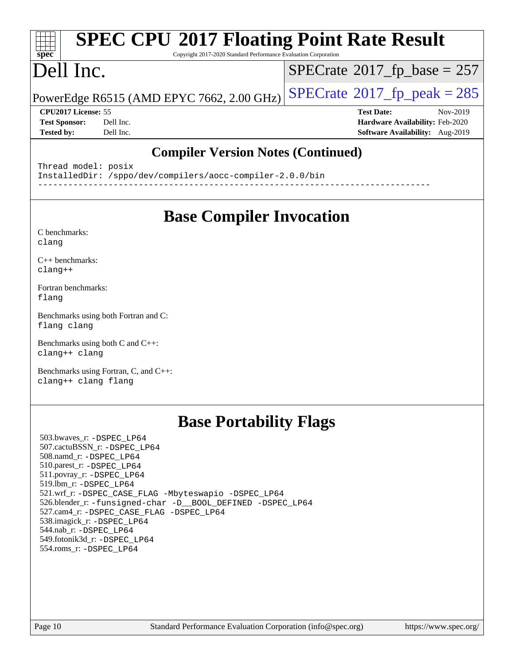## **[SPEC CPU](http://www.spec.org/auto/cpu2017/Docs/result-fields.html#SPECCPU2017FloatingPointRateResult)[2017 Floating Point Rate Result](http://www.spec.org/auto/cpu2017/Docs/result-fields.html#SPECCPU2017FloatingPointRateResult)**

Copyright 2017-2020 Standard Performance Evaluation Corporation

### Dell Inc.

**[spec](http://www.spec.org/)**

 $\pm$   $\prime$ 

 $SPECTate$ <sup>®</sup>[2017\\_fp\\_base =](http://www.spec.org/auto/cpu2017/Docs/result-fields.html#SPECrate2017fpbase) 257

PowerEdge R6515 (AMD EPYC 7662, 2.00 GHz)  $\left|$  [SPECrate](http://www.spec.org/auto/cpu2017/Docs/result-fields.html#SPECrate2017fppeak)®[2017\\_fp\\_peak = 2](http://www.spec.org/auto/cpu2017/Docs/result-fields.html#SPECrate2017fppeak)85

**[Test Sponsor:](http://www.spec.org/auto/cpu2017/Docs/result-fields.html#TestSponsor)** Dell Inc. **[Hardware Availability:](http://www.spec.org/auto/cpu2017/Docs/result-fields.html#HardwareAvailability)** Feb-2020 **[Tested by:](http://www.spec.org/auto/cpu2017/Docs/result-fields.html#Testedby)** Dell Inc. **[Software Availability:](http://www.spec.org/auto/cpu2017/Docs/result-fields.html#SoftwareAvailability)** Aug-2019

**[CPU2017 License:](http://www.spec.org/auto/cpu2017/Docs/result-fields.html#CPU2017License)** 55 **[Test Date:](http://www.spec.org/auto/cpu2017/Docs/result-fields.html#TestDate)** Nov-2019

**[Compiler Version Notes \(Continued\)](http://www.spec.org/auto/cpu2017/Docs/result-fields.html#CompilerVersionNotes)**

Thread model: posix InstalledDir: /sppo/dev/compilers/aocc-compiler-2.0.0/bin ------------------------------------------------------------------------------

### **[Base Compiler Invocation](http://www.spec.org/auto/cpu2017/Docs/result-fields.html#BaseCompilerInvocation)**

[C benchmarks](http://www.spec.org/auto/cpu2017/Docs/result-fields.html#Cbenchmarks): [clang](http://www.spec.org/cpu2017/results/res2020q1/cpu2017-20200119-20549.flags.html#user_CCbase_clang-c)

[C++ benchmarks:](http://www.spec.org/auto/cpu2017/Docs/result-fields.html#CXXbenchmarks) [clang++](http://www.spec.org/cpu2017/results/res2020q1/cpu2017-20200119-20549.flags.html#user_CXXbase_clang-cpp)

[Fortran benchmarks](http://www.spec.org/auto/cpu2017/Docs/result-fields.html#Fortranbenchmarks): [flang](http://www.spec.org/cpu2017/results/res2020q1/cpu2017-20200119-20549.flags.html#user_FCbase_flang)

[Benchmarks using both Fortran and C](http://www.spec.org/auto/cpu2017/Docs/result-fields.html#BenchmarksusingbothFortranandC): [flang](http://www.spec.org/cpu2017/results/res2020q1/cpu2017-20200119-20549.flags.html#user_CC_FCbase_flang) [clang](http://www.spec.org/cpu2017/results/res2020q1/cpu2017-20200119-20549.flags.html#user_CC_FCbase_clang-c)

[Benchmarks using both C and C++](http://www.spec.org/auto/cpu2017/Docs/result-fields.html#BenchmarksusingbothCandCXX): [clang++](http://www.spec.org/cpu2017/results/res2020q1/cpu2017-20200119-20549.flags.html#user_CC_CXXbase_clang-cpp) [clang](http://www.spec.org/cpu2017/results/res2020q1/cpu2017-20200119-20549.flags.html#user_CC_CXXbase_clang-c)

[Benchmarks using Fortran, C, and C++:](http://www.spec.org/auto/cpu2017/Docs/result-fields.html#BenchmarksusingFortranCandCXX) [clang++](http://www.spec.org/cpu2017/results/res2020q1/cpu2017-20200119-20549.flags.html#user_CC_CXX_FCbase_clang-cpp) [clang](http://www.spec.org/cpu2017/results/res2020q1/cpu2017-20200119-20549.flags.html#user_CC_CXX_FCbase_clang-c) [flang](http://www.spec.org/cpu2017/results/res2020q1/cpu2017-20200119-20549.flags.html#user_CC_CXX_FCbase_flang)

### **[Base Portability Flags](http://www.spec.org/auto/cpu2017/Docs/result-fields.html#BasePortabilityFlags)**

 503.bwaves\_r: [-DSPEC\\_LP64](http://www.spec.org/cpu2017/results/res2020q1/cpu2017-20200119-20549.flags.html#suite_baseEXTRA_PORTABILITY503_bwaves_r_DSPEC_LP64) 507.cactuBSSN\_r: [-DSPEC\\_LP64](http://www.spec.org/cpu2017/results/res2020q1/cpu2017-20200119-20549.flags.html#suite_baseEXTRA_PORTABILITY507_cactuBSSN_r_DSPEC_LP64) 508.namd\_r: [-DSPEC\\_LP64](http://www.spec.org/cpu2017/results/res2020q1/cpu2017-20200119-20549.flags.html#suite_baseEXTRA_PORTABILITY508_namd_r_DSPEC_LP64) 510.parest\_r: [-DSPEC\\_LP64](http://www.spec.org/cpu2017/results/res2020q1/cpu2017-20200119-20549.flags.html#suite_baseEXTRA_PORTABILITY510_parest_r_DSPEC_LP64) 511.povray\_r: [-DSPEC\\_LP64](http://www.spec.org/cpu2017/results/res2020q1/cpu2017-20200119-20549.flags.html#suite_baseEXTRA_PORTABILITY511_povray_r_DSPEC_LP64) 519.lbm\_r: [-DSPEC\\_LP64](http://www.spec.org/cpu2017/results/res2020q1/cpu2017-20200119-20549.flags.html#suite_baseEXTRA_PORTABILITY519_lbm_r_DSPEC_LP64) 521.wrf\_r: [-DSPEC\\_CASE\\_FLAG](http://www.spec.org/cpu2017/results/res2020q1/cpu2017-20200119-20549.flags.html#b521.wrf_r_baseCPORTABILITY_DSPEC_CASE_FLAG) [-Mbyteswapio](http://www.spec.org/cpu2017/results/res2020q1/cpu2017-20200119-20549.flags.html#user_baseFPORTABILITY521_wrf_r_F-mbyteswapio_543c39ce38db59bcbc3b888917ef58c313007ae1c27520b689e012995ae261114051d1d5efcb4182d175ce22a6a15532d3a9999882dd2c360e6d853f41da6883) [-DSPEC\\_LP64](http://www.spec.org/cpu2017/results/res2020q1/cpu2017-20200119-20549.flags.html#suite_baseEXTRA_PORTABILITY521_wrf_r_DSPEC_LP64) 526.blender\_r: [-funsigned-char](http://www.spec.org/cpu2017/results/res2020q1/cpu2017-20200119-20549.flags.html#user_baseCPORTABILITY526_blender_r_aocc-unsigned-char) [-D\\_\\_BOOL\\_DEFINED](http://www.spec.org/cpu2017/results/res2020q1/cpu2017-20200119-20549.flags.html#b526.blender_r_baseCXXPORTABILITY_D__BOOL_DEFINED) [-DSPEC\\_LP64](http://www.spec.org/cpu2017/results/res2020q1/cpu2017-20200119-20549.flags.html#suite_baseEXTRA_PORTABILITY526_blender_r_DSPEC_LP64) 527.cam4\_r: [-DSPEC\\_CASE\\_FLAG](http://www.spec.org/cpu2017/results/res2020q1/cpu2017-20200119-20549.flags.html#b527.cam4_r_basePORTABILITY_DSPEC_CASE_FLAG) [-DSPEC\\_LP64](http://www.spec.org/cpu2017/results/res2020q1/cpu2017-20200119-20549.flags.html#suite_baseEXTRA_PORTABILITY527_cam4_r_DSPEC_LP64) 538.imagick\_r: [-DSPEC\\_LP64](http://www.spec.org/cpu2017/results/res2020q1/cpu2017-20200119-20549.flags.html#suite_baseEXTRA_PORTABILITY538_imagick_r_DSPEC_LP64) 544.nab\_r: [-DSPEC\\_LP64](http://www.spec.org/cpu2017/results/res2020q1/cpu2017-20200119-20549.flags.html#suite_baseEXTRA_PORTABILITY544_nab_r_DSPEC_LP64) 549.fotonik3d\_r: [-DSPEC\\_LP64](http://www.spec.org/cpu2017/results/res2020q1/cpu2017-20200119-20549.flags.html#suite_baseEXTRA_PORTABILITY549_fotonik3d_r_DSPEC_LP64) 554.roms\_r: [-DSPEC\\_LP64](http://www.spec.org/cpu2017/results/res2020q1/cpu2017-20200119-20549.flags.html#suite_baseEXTRA_PORTABILITY554_roms_r_DSPEC_LP64)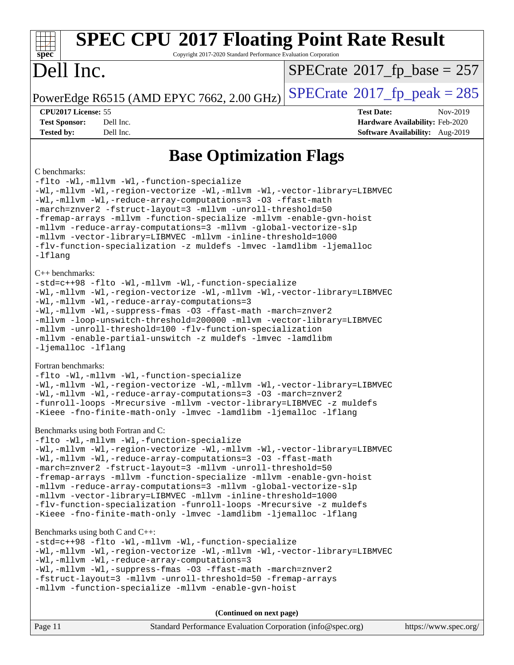| <b>SPEC CPU®2017 Floating Point Rate Result</b><br>Copyright 2017-2020 Standard Performance Evaluation Corporation<br>$spec^*$                                                                                                                                                                                                                                                                                                                                                                                                                                                                                                                  |                                                                                                     |
|-------------------------------------------------------------------------------------------------------------------------------------------------------------------------------------------------------------------------------------------------------------------------------------------------------------------------------------------------------------------------------------------------------------------------------------------------------------------------------------------------------------------------------------------------------------------------------------------------------------------------------------------------|-----------------------------------------------------------------------------------------------------|
| Dell Inc.                                                                                                                                                                                                                                                                                                                                                                                                                                                                                                                                                                                                                                       | $SPECrate^{\circ}2017$ fp base = 257                                                                |
| PowerEdge R6515 (AMD EPYC 7662, 2.00 GHz)                                                                                                                                                                                                                                                                                                                                                                                                                                                                                                                                                                                                       | $SPECTate@2017_fp\_peak = 285$                                                                      |
| CPU2017 License: 55<br><b>Test Sponsor:</b><br>Dell Inc.<br>Dell Inc.<br><b>Tested by:</b>                                                                                                                                                                                                                                                                                                                                                                                                                                                                                                                                                      | <b>Test Date:</b><br>Nov-2019<br>Hardware Availability: Feb-2020<br>Software Availability: Aug-2019 |
| <b>Base Optimization Flags</b>                                                                                                                                                                                                                                                                                                                                                                                                                                                                                                                                                                                                                  |                                                                                                     |
| C benchmarks:<br>-flto -Wl,-mllvm -Wl,-function-specialize<br>-Wl,-mllvm -Wl,-region-vectorize -Wl,-mllvm -Wl,-vector-library=LIBMVEC<br>-Wl,-mllvm -Wl,-reduce-array-computations=3 -03 -ffast-math<br>-march=znver2 -fstruct-layout=3 -mllvm -unroll-threshold=50<br>-fremap-arrays -mllvm -function-specialize -mllvm -enable-gvn-hoist<br>-mllvm -reduce-array-computations=3 -mllvm -global-vectorize-slp<br>-mllvm -vector-library=LIBMVEC -mllvm -inline-threshold=1000<br>-flv-function-specialization -z muldefs -lmvec -lamdlibm -ljemalloc<br>$-Iflang$                                                                              |                                                                                                     |
| $C_{++}$ benchmarks:<br>-std=c++98 -flto -Wl,-mllvm -Wl,-function-specialize<br>-Wl,-mllvm -Wl,-region-vectorize -Wl,-mllvm -Wl,-vector-library=LIBMVEC<br>-Wl,-mllvm -Wl,-reduce-array-computations=3<br>-Wl,-mllvm -Wl,-suppress-fmas -03 -ffast-math -march=znver2<br>-mllvm -loop-unswitch-threshold=200000 -mllvm -vector-library=LIBMVEC<br>-mllvm -unroll-threshold=100 -flv-function-specialization<br>-mllvm -enable-partial-unswitch -z muldefs -lmvec -lamdlibm<br>-ljemalloc -lflang                                                                                                                                                |                                                                                                     |
| Fortran benchmarks:<br>-flto -Wl,-mllvm -Wl,-function-specialize<br>-Wl,-mllvm -Wl,-region-vectorize -Wl,-mllvm -Wl,-vector-library=LIBMVEC<br>-Wl,-mllvm -Wl,-reduce-array-computations=3 -03 -march=znver2<br>-funroll-loops -Mrecursive -mllvm -vector-library=LIBMVEC -z muldefs<br>-Kieee -fno-finite-math-only -lmvec -lamdlibm -ljemalloc -lflang                                                                                                                                                                                                                                                                                        |                                                                                                     |
| Benchmarks using both Fortran and C:<br>-flto -Wl,-mllvm -Wl,-function-specialize<br>-Wl,-mllvm -Wl,-region-vectorize -Wl,-mllvm -Wl,-vector-library=LIBMVEC<br>-Wl,-mllvm -Wl,-reduce-array-computations=3 -03 -ffast-math<br>-march=znver2 -fstruct-layout=3 -mllvm -unroll-threshold=50<br>-fremap-arrays -mllvm -function-specialize -mllvm -enable-gvn-hoist<br>-mllvm -reduce-array-computations=3 -mllvm -global-vectorize-slp<br>-mllvm -vector-library=LIBMVEC -mllvm -inline-threshold=1000<br>-flv-function-specialization -funroll-loops -Mrecursive -z muldefs<br>-Kieee -fno-finite-math-only -lmvec -lamdlibm -ljemalloc -lflang |                                                                                                     |
| Benchmarks using both $C$ and $C_{++}$ :<br>-std=c++98 -flto -Wl,-mllvm -Wl,-function-specialize<br>-Wl,-mllvm -Wl,-region-vectorize -Wl,-mllvm -Wl,-vector-library=LIBMVEC<br>-Wl,-mllvm -Wl,-reduce-array-computations=3<br>-Wl,-mllvm -Wl,-suppress-fmas -O3 -ffast-math -march=znver2<br>-fstruct-layout=3 -mllvm -unroll-threshold=50 -fremap-arrays<br>-mllvm -function-specialize -mllvm -enable-gvn-hoist                                                                                                                                                                                                                               |                                                                                                     |
| (Continued on next page)                                                                                                                                                                                                                                                                                                                                                                                                                                                                                                                                                                                                                        |                                                                                                     |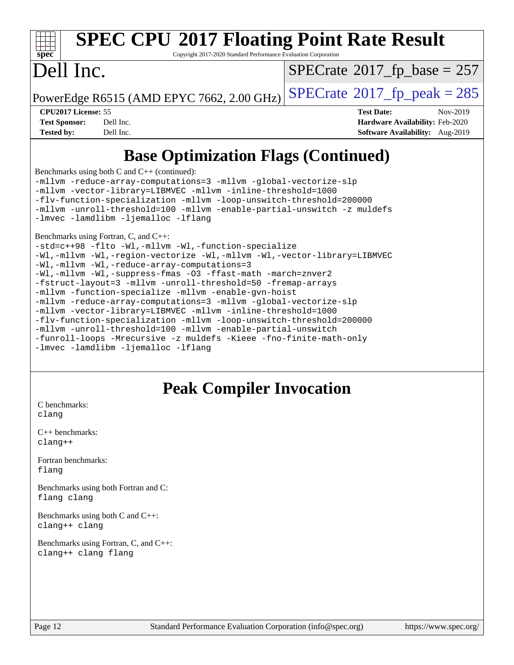#### **[SPEC CPU](http://www.spec.org/auto/cpu2017/Docs/result-fields.html#SPECCPU2017FloatingPointRateResult)[2017 Floating Point Rate Result](http://www.spec.org/auto/cpu2017/Docs/result-fields.html#SPECCPU2017FloatingPointRateResult)**  $\pm$   $\prime$ **[spec](http://www.spec.org/)** Copyright 2017-2020 Standard Performance Evaluation Corporation Dell Inc.  $SPECTate$ <sup>®</sup>[2017\\_fp\\_base =](http://www.spec.org/auto/cpu2017/Docs/result-fields.html#SPECrate2017fpbase) 257 PowerEdge R6515 (AMD EPYC 7662, 2.00 GHz)  $\left|$  [SPECrate](http://www.spec.org/auto/cpu2017/Docs/result-fields.html#SPECrate2017fppeak)®[2017\\_fp\\_peak = 2](http://www.spec.org/auto/cpu2017/Docs/result-fields.html#SPECrate2017fppeak)85 **[CPU2017 License:](http://www.spec.org/auto/cpu2017/Docs/result-fields.html#CPU2017License)** 55 **[Test Date:](http://www.spec.org/auto/cpu2017/Docs/result-fields.html#TestDate)** Nov-2019 **[Test Sponsor:](http://www.spec.org/auto/cpu2017/Docs/result-fields.html#TestSponsor)** Dell Inc. **[Hardware Availability:](http://www.spec.org/auto/cpu2017/Docs/result-fields.html#HardwareAvailability)** Feb-2020 **[Tested by:](http://www.spec.org/auto/cpu2017/Docs/result-fields.html#Testedby)** Dell Inc. **[Software Availability:](http://www.spec.org/auto/cpu2017/Docs/result-fields.html#SoftwareAvailability)** Aug-2019 **[Base Optimization Flags \(Continued\)](http://www.spec.org/auto/cpu2017/Docs/result-fields.html#BaseOptimizationFlags)** [Benchmarks using both C and C++](http://www.spec.org/auto/cpu2017/Docs/result-fields.html#BenchmarksusingbothCandCXX) (continued): [-mllvm -reduce-array-computations=3](http://www.spec.org/cpu2017/results/res2020q1/cpu2017-20200119-20549.flags.html#user_CC_CXXbase_F-reduce-array-computations_aceadb8604558b566e0e3a0d7a3c1533923dd1fa0889614e16288028922629a28d5695c24d3b3be4306b1e311c54317dfffe3a2e57fbcaabc737a1798de39145) [-mllvm -global-vectorize-slp](http://www.spec.org/cpu2017/results/res2020q1/cpu2017-20200119-20549.flags.html#user_CC_CXXbase_F-global-vectorize-slp_a3935e8627af4ced727033b1ffd4db27f4d541a363d28d82bf4c2925fb3a0fd4115d6e42d13a2829f9e024d6608eb67a85cb49770f2da5c5ac8dbc737afad603) [-mllvm -vector-library=LIBMVEC](http://www.spec.org/cpu2017/results/res2020q1/cpu2017-20200119-20549.flags.html#user_CC_CXXbase_F-use-vector-library_e584e20b4f7ec96aa109254b65d8e01d864f3d68580371b9d93ed7c338191d4cfce20c3c864632264effc6bbe4c7c38153d02096a342ee92501c4a53204a7871) [-mllvm -inline-threshold=1000](http://www.spec.org/cpu2017/results/res2020q1/cpu2017-20200119-20549.flags.html#user_CC_CXXbase_dragonegg-llvm-inline-threshold_b7832241b0a6397e4ecdbaf0eb7defdc10f885c2a282fa3240fdc99844d543fda39cf8a4a9dccf68cf19b5438ac3b455264f478df15da0f4988afa40d8243bab) [-flv-function-specialization](http://www.spec.org/cpu2017/results/res2020q1/cpu2017-20200119-20549.flags.html#user_CC_CXXbase_F-flv-function-specialization) [-mllvm -loop-unswitch-threshold=200000](http://www.spec.org/cpu2017/results/res2020q1/cpu2017-20200119-20549.flags.html#user_CC_CXXbase_F-loop-unswitch-threshold_f9a82ae3270e55b5fbf79d0d96ee93606b73edbbe527d20b18b7bff1a3a146ad50cfc7454c5297978340ae9213029016a7d16221274d672d3f7f42ed25274e1d) [-mllvm -unroll-threshold=100](http://www.spec.org/cpu2017/results/res2020q1/cpu2017-20200119-20549.flags.html#user_CC_CXXbase_F-unroll-threshold_2755d0c78138845d361fa1543e3a063fffa198df9b3edf0cfb856bbc88a81e1769b12ac7a550c5d35197be55360db1a3f95a8d1304df999456cabf5120c45168) [-mllvm -enable-partial-unswitch](http://www.spec.org/cpu2017/results/res2020q1/cpu2017-20200119-20549.flags.html#user_CC_CXXbase_F-enable-partial-unswitch_6e1c33f981d77963b1eaf834973128a7f33ce3f8e27f54689656697a35e89dcc875281e0e6283d043e32f367dcb605ba0e307a92e830f7e326789fa6c61b35d3) [-z muldefs](http://www.spec.org/cpu2017/results/res2020q1/cpu2017-20200119-20549.flags.html#user_CC_CXXbase_aocc-muldefs) [-lmvec](http://www.spec.org/cpu2017/results/res2020q1/cpu2017-20200119-20549.flags.html#user_CC_CXXbase_F-lmvec) [-lamdlibm](http://www.spec.org/cpu2017/results/res2020q1/cpu2017-20200119-20549.flags.html#user_CC_CXXbase_F-lamdlibm) [-ljemalloc](http://www.spec.org/cpu2017/results/res2020q1/cpu2017-20200119-20549.flags.html#user_CC_CXXbase_jemalloc-lib) [-lflang](http://www.spec.org/cpu2017/results/res2020q1/cpu2017-20200119-20549.flags.html#user_CC_CXXbase_F-lflang) [Benchmarks using Fortran, C, and C++](http://www.spec.org/auto/cpu2017/Docs/result-fields.html#BenchmarksusingFortranCandCXX): [-std=c++98](http://www.spec.org/cpu2017/results/res2020q1/cpu2017-20200119-20549.flags.html#user_CC_CXX_FCbase_std-cpp) [-flto](http://www.spec.org/cpu2017/results/res2020q1/cpu2017-20200119-20549.flags.html#user_CC_CXX_FCbase_aocc-flto) [-Wl,-mllvm -Wl,-function-specialize](http://www.spec.org/cpu2017/results/res2020q1/cpu2017-20200119-20549.flags.html#user_CC_CXX_FCbase_F-function-specialize_7e7e661e57922243ee67c9a1251cb8910e607325179a0ce7f2884e09a6f5d4a5ef0ae4f37e8a2a11c95fc48e931f06dc2b6016f14b511fcb441e048bef1b065a) [-Wl,-mllvm -Wl,-region-vectorize](http://www.spec.org/cpu2017/results/res2020q1/cpu2017-20200119-20549.flags.html#user_CC_CXX_FCbase_F-region-vectorize_fb6c6b5aa293c88efc6c7c2b52b20755e943585b1fe8658c35afef78727fff56e1a56891413c30e36b8e2a6f9a71126986319243e80eb6110b78b288f533c52b) [-Wl,-mllvm -Wl,-vector-library=LIBMVEC](http://www.spec.org/cpu2017/results/res2020q1/cpu2017-20200119-20549.flags.html#user_CC_CXX_FCbase_F-use-vector-library_0a14b27fae317f283640384a31f7bfcc2bd4c1d0b5cfc618a3a430800c9b20217b00f61303eff223a3251b4f06ffbc9739dc5296db9d1fbb9ad24a3939d86d66) [-Wl,-mllvm -Wl,-reduce-array-computations=3](http://www.spec.org/cpu2017/results/res2020q1/cpu2017-20200119-20549.flags.html#user_CC_CXX_FCbase_F-reduce-array-computations_b882aefe7a5dda4e33149f6299762b9a720dace3e498e13756f4c04e5a19edf5315c1f3993de2e61ec41e8c206231f84e05da7040e1bb5d69ba27d10a12507e4) [-Wl,-mllvm -Wl,-suppress-fmas](http://www.spec.org/cpu2017/results/res2020q1/cpu2017-20200119-20549.flags.html#user_CC_CXX_FCbase_F-suppress-fmas_f00f00630e4a059e8af9c161e9bbf420bcf19890a7f99d5933525e66aa4b0bb3ab2339d2b12d97d3a5f5d271e839fe9c109938e91fe06230fb53651590cfa1e8) [-O3](http://www.spec.org/cpu2017/results/res2020q1/cpu2017-20200119-20549.flags.html#user_CC_CXX_FCbase_F-O3) [-ffast-math](http://www.spec.org/cpu2017/results/res2020q1/cpu2017-20200119-20549.flags.html#user_CC_CXX_FCbase_aocc-ffast-math) [-march=znver2](http://www.spec.org/cpu2017/results/res2020q1/cpu2017-20200119-20549.flags.html#user_CC_CXX_FCbase_aocc-march_3e2e19cff2eeef60c5d90b059483627c9ea47eca6d66670dbd53f9185f6439e27eb5e104cf773e9e8ab18c8842ce63e461a3e948d0214bd567ef3ade411bf467) [-fstruct-layout=3](http://www.spec.org/cpu2017/results/res2020q1/cpu2017-20200119-20549.flags.html#user_CC_CXX_FCbase_F-struct-layout) [-mllvm -unroll-threshold=50](http://www.spec.org/cpu2017/results/res2020q1/cpu2017-20200119-20549.flags.html#user_CC_CXX_FCbase_F-unroll-threshold_458874500b2c105d6d5cb4d7a611c40e2b16e9e3d26b355fea72d644c3673b4de4b3932662f0ed3dbec75c491a13da2d2ca81180bd779dc531083ef1e1e549dc) [-fremap-arrays](http://www.spec.org/cpu2017/results/res2020q1/cpu2017-20200119-20549.flags.html#user_CC_CXX_FCbase_F-fremap-arrays)

**[Peak Compiler Invocation](http://www.spec.org/auto/cpu2017/Docs/result-fields.html#PeakCompilerInvocation)**

[C benchmarks](http://www.spec.org/auto/cpu2017/Docs/result-fields.html#Cbenchmarks): [clang](http://www.spec.org/cpu2017/results/res2020q1/cpu2017-20200119-20549.flags.html#user_CCpeak_clang-c)

[C++ benchmarks:](http://www.spec.org/auto/cpu2017/Docs/result-fields.html#CXXbenchmarks) [clang++](http://www.spec.org/cpu2017/results/res2020q1/cpu2017-20200119-20549.flags.html#user_CXXpeak_clang-cpp)

[Fortran benchmarks](http://www.spec.org/auto/cpu2017/Docs/result-fields.html#Fortranbenchmarks): [flang](http://www.spec.org/cpu2017/results/res2020q1/cpu2017-20200119-20549.flags.html#user_FCpeak_flang)

[Benchmarks using both Fortran and C](http://www.spec.org/auto/cpu2017/Docs/result-fields.html#BenchmarksusingbothFortranandC): [flang](http://www.spec.org/cpu2017/results/res2020q1/cpu2017-20200119-20549.flags.html#user_CC_FCpeak_flang) [clang](http://www.spec.org/cpu2017/results/res2020q1/cpu2017-20200119-20549.flags.html#user_CC_FCpeak_clang-c)

[-lmvec](http://www.spec.org/cpu2017/results/res2020q1/cpu2017-20200119-20549.flags.html#user_CC_CXX_FCbase_F-lmvec) [-lamdlibm](http://www.spec.org/cpu2017/results/res2020q1/cpu2017-20200119-20549.flags.html#user_CC_CXX_FCbase_F-lamdlibm) [-ljemalloc](http://www.spec.org/cpu2017/results/res2020q1/cpu2017-20200119-20549.flags.html#user_CC_CXX_FCbase_jemalloc-lib) [-lflang](http://www.spec.org/cpu2017/results/res2020q1/cpu2017-20200119-20549.flags.html#user_CC_CXX_FCbase_F-lflang)

[-mllvm -function-specialize](http://www.spec.org/cpu2017/results/res2020q1/cpu2017-20200119-20549.flags.html#user_CC_CXX_FCbase_F-function-specialize_233b3bdba86027f1b094368157e481c5bc59f40286dc25bfadc1858dcd5745c24fd30d5f188710db7fea399bcc9f44a80b3ce3aacc70a8870250c3ae5e1f35b8) [-mllvm -enable-gvn-hoist](http://www.spec.org/cpu2017/results/res2020q1/cpu2017-20200119-20549.flags.html#user_CC_CXX_FCbase_F-enable-gvn-hoist_e5856354646dd6ca1333a0ad99b817e4cf8932b91b82809fd8fd47ceff7b22a89eba5c98fd3e3fa5200368fd772cec3dd56abc3c8f7b655a71b9f9848dddedd5)

[-mllvm -reduce-array-computations=3](http://www.spec.org/cpu2017/results/res2020q1/cpu2017-20200119-20549.flags.html#user_CC_CXX_FCbase_F-reduce-array-computations_aceadb8604558b566e0e3a0d7a3c1533923dd1fa0889614e16288028922629a28d5695c24d3b3be4306b1e311c54317dfffe3a2e57fbcaabc737a1798de39145) [-mllvm -global-vectorize-slp](http://www.spec.org/cpu2017/results/res2020q1/cpu2017-20200119-20549.flags.html#user_CC_CXX_FCbase_F-global-vectorize-slp_a3935e8627af4ced727033b1ffd4db27f4d541a363d28d82bf4c2925fb3a0fd4115d6e42d13a2829f9e024d6608eb67a85cb49770f2da5c5ac8dbc737afad603) [-mllvm -vector-library=LIBMVEC](http://www.spec.org/cpu2017/results/res2020q1/cpu2017-20200119-20549.flags.html#user_CC_CXX_FCbase_F-use-vector-library_e584e20b4f7ec96aa109254b65d8e01d864f3d68580371b9d93ed7c338191d4cfce20c3c864632264effc6bbe4c7c38153d02096a342ee92501c4a53204a7871) [-mllvm -inline-threshold=1000](http://www.spec.org/cpu2017/results/res2020q1/cpu2017-20200119-20549.flags.html#user_CC_CXX_FCbase_dragonegg-llvm-inline-threshold_b7832241b0a6397e4ecdbaf0eb7defdc10f885c2a282fa3240fdc99844d543fda39cf8a4a9dccf68cf19b5438ac3b455264f478df15da0f4988afa40d8243bab)

[-mllvm -unroll-threshold=100](http://www.spec.org/cpu2017/results/res2020q1/cpu2017-20200119-20549.flags.html#user_CC_CXX_FCbase_F-unroll-threshold_2755d0c78138845d361fa1543e3a063fffa198df9b3edf0cfb856bbc88a81e1769b12ac7a550c5d35197be55360db1a3f95a8d1304df999456cabf5120c45168) [-mllvm -enable-partial-unswitch](http://www.spec.org/cpu2017/results/res2020q1/cpu2017-20200119-20549.flags.html#user_CC_CXX_FCbase_F-enable-partial-unswitch_6e1c33f981d77963b1eaf834973128a7f33ce3f8e27f54689656697a35e89dcc875281e0e6283d043e32f367dcb605ba0e307a92e830f7e326789fa6c61b35d3)

[-flv-function-specialization](http://www.spec.org/cpu2017/results/res2020q1/cpu2017-20200119-20549.flags.html#user_CC_CXX_FCbase_F-flv-function-specialization) [-mllvm -loop-unswitch-threshold=200000](http://www.spec.org/cpu2017/results/res2020q1/cpu2017-20200119-20549.flags.html#user_CC_CXX_FCbase_F-loop-unswitch-threshold_f9a82ae3270e55b5fbf79d0d96ee93606b73edbbe527d20b18b7bff1a3a146ad50cfc7454c5297978340ae9213029016a7d16221274d672d3f7f42ed25274e1d)

[-funroll-loops](http://www.spec.org/cpu2017/results/res2020q1/cpu2017-20200119-20549.flags.html#user_CC_CXX_FCbase_aocc-unroll-loops) [-Mrecursive](http://www.spec.org/cpu2017/results/res2020q1/cpu2017-20200119-20549.flags.html#user_CC_CXX_FCbase_F-mrecursive_20a145d63f12d5750a899e17d4450b5b8b40330a9bb4af13688ca650e6fb30857bbbe44fb35cdbb895df6e5b2769de0a0d7659f51ff17acfbef6febafec4023f) [-z muldefs](http://www.spec.org/cpu2017/results/res2020q1/cpu2017-20200119-20549.flags.html#user_CC_CXX_FCbase_aocc-muldefs) [-Kieee](http://www.spec.org/cpu2017/results/res2020q1/cpu2017-20200119-20549.flags.html#user_CC_CXX_FCbase_F-kieee) [-fno-finite-math-only](http://www.spec.org/cpu2017/results/res2020q1/cpu2017-20200119-20549.flags.html#user_CC_CXX_FCbase_aocc-fno-finite-math-only)

[Benchmarks using both C and C++](http://www.spec.org/auto/cpu2017/Docs/result-fields.html#BenchmarksusingbothCandCXX): [clang++](http://www.spec.org/cpu2017/results/res2020q1/cpu2017-20200119-20549.flags.html#user_CC_CXXpeak_clang-cpp) [clang](http://www.spec.org/cpu2017/results/res2020q1/cpu2017-20200119-20549.flags.html#user_CC_CXXpeak_clang-c)

[Benchmarks using Fortran, C, and C++:](http://www.spec.org/auto/cpu2017/Docs/result-fields.html#BenchmarksusingFortranCandCXX) [clang++](http://www.spec.org/cpu2017/results/res2020q1/cpu2017-20200119-20549.flags.html#user_CC_CXX_FCpeak_clang-cpp) [clang](http://www.spec.org/cpu2017/results/res2020q1/cpu2017-20200119-20549.flags.html#user_CC_CXX_FCpeak_clang-c) [flang](http://www.spec.org/cpu2017/results/res2020q1/cpu2017-20200119-20549.flags.html#user_CC_CXX_FCpeak_flang)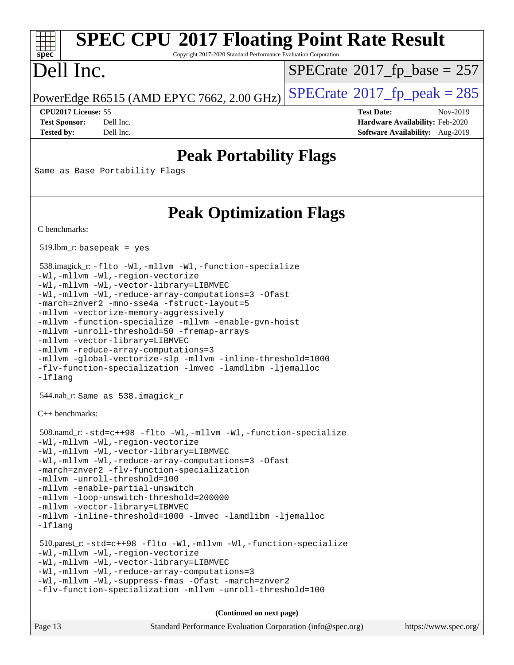## **[SPEC CPU](http://www.spec.org/auto/cpu2017/Docs/result-fields.html#SPECCPU2017FloatingPointRateResult)[2017 Floating Point Rate Result](http://www.spec.org/auto/cpu2017/Docs/result-fields.html#SPECCPU2017FloatingPointRateResult)**

Copyright 2017-2020 Standard Performance Evaluation Corporation

### Dell Inc.

**[spec](http://www.spec.org/)**

 $SPECTate$ <sup>®</sup>[2017\\_fp\\_base =](http://www.spec.org/auto/cpu2017/Docs/result-fields.html#SPECrate2017fpbase) 257

PowerEdge R6515 (AMD EPYC 7662, 2.00 GHz)  $\text{SPECrate}^{\circ}2017$  $\text{SPECrate}^{\circ}2017$  $\text{SPECrate}^{\circ}2017$  fp peak = 285

**[Tested by:](http://www.spec.org/auto/cpu2017/Docs/result-fields.html#Testedby)** Dell Inc. **[Software Availability:](http://www.spec.org/auto/cpu2017/Docs/result-fields.html#SoftwareAvailability)** Aug-2019

**[CPU2017 License:](http://www.spec.org/auto/cpu2017/Docs/result-fields.html#CPU2017License)** 55 **[Test Date:](http://www.spec.org/auto/cpu2017/Docs/result-fields.html#TestDate)** Nov-2019 **[Test Sponsor:](http://www.spec.org/auto/cpu2017/Docs/result-fields.html#TestSponsor)** Dell Inc. **[Hardware Availability:](http://www.spec.org/auto/cpu2017/Docs/result-fields.html#HardwareAvailability)** Feb-2020

### **[Peak Portability Flags](http://www.spec.org/auto/cpu2017/Docs/result-fields.html#PeakPortabilityFlags)**

Same as Base Portability Flags

### **[Peak Optimization Flags](http://www.spec.org/auto/cpu2017/Docs/result-fields.html#PeakOptimizationFlags)**

[C benchmarks](http://www.spec.org/auto/cpu2017/Docs/result-fields.html#Cbenchmarks):

519.lbm\_r: basepeak = yes

```
 538.imagick_r: -flto -Wl,-mllvm -Wl,-function-specialize
-Wl,-mllvm -Wl,-region-vectorize
-Wl,-mllvm -Wl,-vector-library=LIBMVEC
-Wl,-mllvm -Wl,-reduce-array-computations=3 -Ofast
-march=znver2 -mno-sse4a -fstruct-layout=5
-mllvm -vectorize-memory-aggressively
-mllvm -function-specialize -mllvm -enable-gvn-hoist
-mllvm -unroll-threshold=50 -fremap-arrays
-mllvm -vector-library=LIBMVEC
-mllvm -reduce-array-computations=3
-mllvm -global-vectorize-slp -mllvm -inline-threshold=1000
-flv-function-specialization -lmvec -lamdlibm -ljemalloc
-lflang
 544.nab_r: Same as 538.imagick_r
```
[C++ benchmarks:](http://www.spec.org/auto/cpu2017/Docs/result-fields.html#CXXbenchmarks)

```
 508.namd_r: -std=c++98 -flto -Wl,-mllvm -Wl,-function-specialize
-Wl,-mllvm -Wl,-region-vectorize
-Wl,-mllvm -Wl,-vector-library=LIBMVEC
-Wl,-mllvm -Wl,-reduce-array-computations=3 -Ofast
-march=znver2 -flv-function-specialization
-mllvm -unroll-threshold=100
-mllvm -enable-partial-unswitch
-mllvm -loop-unswitch-threshold=200000
-mllvm -vector-library=LIBMVEC
-mllvm -inline-threshold=1000 -lmvec -lamdlibm -ljemalloc
-lflang
 510.parest_r: -std=c++98 -flto -Wl,-mllvm -Wl,-function-specialize
-Wl,-mllvm -Wl,-region-vectorize
-Wl,-mllvm -Wl,-vector-library=LIBMVEC
-Wl,-mllvm -Wl,-reduce-array-computations=3
```
[-Wl,-mllvm -Wl,-suppress-fmas](http://www.spec.org/cpu2017/results/res2020q1/cpu2017-20200119-20549.flags.html#user_peakLDCXXFLAGS510_parest_r_F-suppress-fmas_f00f00630e4a059e8af9c161e9bbf420bcf19890a7f99d5933525e66aa4b0bb3ab2339d2b12d97d3a5f5d271e839fe9c109938e91fe06230fb53651590cfa1e8) [-Ofast](http://www.spec.org/cpu2017/results/res2020q1/cpu2017-20200119-20549.flags.html#user_peakCXXOPTIMIZE510_parest_r_aocc-Ofast) [-march=znver2](http://www.spec.org/cpu2017/results/res2020q1/cpu2017-20200119-20549.flags.html#user_peakCXXOPTIMIZE510_parest_r_aocc-march_3e2e19cff2eeef60c5d90b059483627c9ea47eca6d66670dbd53f9185f6439e27eb5e104cf773e9e8ab18c8842ce63e461a3e948d0214bd567ef3ade411bf467) [-flv-function-specialization](http://www.spec.org/cpu2017/results/res2020q1/cpu2017-20200119-20549.flags.html#user_peakCXXOPTIMIZE510_parest_r_F-flv-function-specialization) [-mllvm -unroll-threshold=100](http://www.spec.org/cpu2017/results/res2020q1/cpu2017-20200119-20549.flags.html#user_peakCXXOPTIMIZE510_parest_r_F-unroll-threshold_2755d0c78138845d361fa1543e3a063fffa198df9b3edf0cfb856bbc88a81e1769b12ac7a550c5d35197be55360db1a3f95a8d1304df999456cabf5120c45168)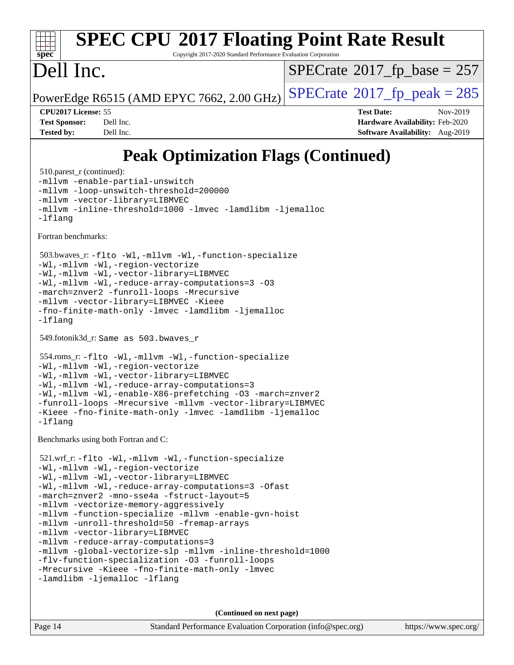# **[spec](http://www.spec.org/)**

## **[SPEC CPU](http://www.spec.org/auto/cpu2017/Docs/result-fields.html#SPECCPU2017FloatingPointRateResult)[2017 Floating Point Rate Result](http://www.spec.org/auto/cpu2017/Docs/result-fields.html#SPECCPU2017FloatingPointRateResult)**

Copyright 2017-2020 Standard Performance Evaluation Corporation

### Dell Inc.

 $SPECTate$ <sup>®</sup>[2017\\_fp\\_base =](http://www.spec.org/auto/cpu2017/Docs/result-fields.html#SPECrate2017fpbase) 257

PowerEdge R6515 (AMD EPYC 7662, 2.00 GHz)  $\text{SPECrate}^{\circ}2017$  $\text{SPECrate}^{\circ}2017$  $\text{SPECrate}^{\circ}2017$  fp peak = 285

**[CPU2017 License:](http://www.spec.org/auto/cpu2017/Docs/result-fields.html#CPU2017License)** 55 **[Test Date:](http://www.spec.org/auto/cpu2017/Docs/result-fields.html#TestDate)** Nov-2019 **[Test Sponsor:](http://www.spec.org/auto/cpu2017/Docs/result-fields.html#TestSponsor)** Dell Inc. **[Hardware Availability:](http://www.spec.org/auto/cpu2017/Docs/result-fields.html#HardwareAvailability)** Feb-2020 **[Tested by:](http://www.spec.org/auto/cpu2017/Docs/result-fields.html#Testedby)** Dell Inc. **[Software Availability:](http://www.spec.org/auto/cpu2017/Docs/result-fields.html#SoftwareAvailability)** Aug-2019

### **[Peak Optimization Flags \(Continued\)](http://www.spec.org/auto/cpu2017/Docs/result-fields.html#PeakOptimizationFlags)**

510.parest r (continued): [-mllvm -enable-partial-unswitch](http://www.spec.org/cpu2017/results/res2020q1/cpu2017-20200119-20549.flags.html#user_peakCXXOPTIMIZE510_parest_r_F-enable-partial-unswitch_6e1c33f981d77963b1eaf834973128a7f33ce3f8e27f54689656697a35e89dcc875281e0e6283d043e32f367dcb605ba0e307a92e830f7e326789fa6c61b35d3) [-mllvm -loop-unswitch-threshold=200000](http://www.spec.org/cpu2017/results/res2020q1/cpu2017-20200119-20549.flags.html#user_peakCXXOPTIMIZE510_parest_r_F-loop-unswitch-threshold_f9a82ae3270e55b5fbf79d0d96ee93606b73edbbe527d20b18b7bff1a3a146ad50cfc7454c5297978340ae9213029016a7d16221274d672d3f7f42ed25274e1d) [-mllvm -vector-library=LIBMVEC](http://www.spec.org/cpu2017/results/res2020q1/cpu2017-20200119-20549.flags.html#user_peakCXXOPTIMIZE510_parest_r_F-use-vector-library_e584e20b4f7ec96aa109254b65d8e01d864f3d68580371b9d93ed7c338191d4cfce20c3c864632264effc6bbe4c7c38153d02096a342ee92501c4a53204a7871) [-mllvm -inline-threshold=1000](http://www.spec.org/cpu2017/results/res2020q1/cpu2017-20200119-20549.flags.html#user_peakCXXOPTIMIZE510_parest_r_dragonegg-llvm-inline-threshold_b7832241b0a6397e4ecdbaf0eb7defdc10f885c2a282fa3240fdc99844d543fda39cf8a4a9dccf68cf19b5438ac3b455264f478df15da0f4988afa40d8243bab) [-lmvec](http://www.spec.org/cpu2017/results/res2020q1/cpu2017-20200119-20549.flags.html#user_peakEXTRA_LIBS510_parest_r_F-lmvec) [-lamdlibm](http://www.spec.org/cpu2017/results/res2020q1/cpu2017-20200119-20549.flags.html#user_peakEXTRA_LIBS510_parest_r_F-lamdlibm) [-ljemalloc](http://www.spec.org/cpu2017/results/res2020q1/cpu2017-20200119-20549.flags.html#user_peakEXTRA_LIBS510_parest_r_jemalloc-lib) [-lflang](http://www.spec.org/cpu2017/results/res2020q1/cpu2017-20200119-20549.flags.html#user_peakEXTRA_LIBS510_parest_r_F-lflang) [Fortran benchmarks](http://www.spec.org/auto/cpu2017/Docs/result-fields.html#Fortranbenchmarks): 503.bwaves\_r: [-flto](http://www.spec.org/cpu2017/results/res2020q1/cpu2017-20200119-20549.flags.html#user_peakFOPTIMIZELDFLAGS503_bwaves_r_aocc-flto) [-Wl,-mllvm -Wl,-function-specialize](http://www.spec.org/cpu2017/results/res2020q1/cpu2017-20200119-20549.flags.html#user_peakLDFLAGS503_bwaves_r_F-function-specialize_7e7e661e57922243ee67c9a1251cb8910e607325179a0ce7f2884e09a6f5d4a5ef0ae4f37e8a2a11c95fc48e931f06dc2b6016f14b511fcb441e048bef1b065a) [-Wl,-mllvm -Wl,-region-vectorize](http://www.spec.org/cpu2017/results/res2020q1/cpu2017-20200119-20549.flags.html#user_peakLDFLAGS503_bwaves_r_F-region-vectorize_fb6c6b5aa293c88efc6c7c2b52b20755e943585b1fe8658c35afef78727fff56e1a56891413c30e36b8e2a6f9a71126986319243e80eb6110b78b288f533c52b) [-Wl,-mllvm -Wl,-vector-library=LIBMVEC](http://www.spec.org/cpu2017/results/res2020q1/cpu2017-20200119-20549.flags.html#user_peakLDFLAGS503_bwaves_r_F-use-vector-library_0a14b27fae317f283640384a31f7bfcc2bd4c1d0b5cfc618a3a430800c9b20217b00f61303eff223a3251b4f06ffbc9739dc5296db9d1fbb9ad24a3939d86d66) [-Wl,-mllvm -Wl,-reduce-array-computations=3](http://www.spec.org/cpu2017/results/res2020q1/cpu2017-20200119-20549.flags.html#user_peakLDFLAGS503_bwaves_r_F-reduce-array-computations_b882aefe7a5dda4e33149f6299762b9a720dace3e498e13756f4c04e5a19edf5315c1f3993de2e61ec41e8c206231f84e05da7040e1bb5d69ba27d10a12507e4) [-O3](http://www.spec.org/cpu2017/results/res2020q1/cpu2017-20200119-20549.flags.html#user_peakFOPTIMIZE503_bwaves_r_F-O3) [-march=znver2](http://www.spec.org/cpu2017/results/res2020q1/cpu2017-20200119-20549.flags.html#user_peakFOPTIMIZE503_bwaves_r_aocc-march_3e2e19cff2eeef60c5d90b059483627c9ea47eca6d66670dbd53f9185f6439e27eb5e104cf773e9e8ab18c8842ce63e461a3e948d0214bd567ef3ade411bf467) [-funroll-loops](http://www.spec.org/cpu2017/results/res2020q1/cpu2017-20200119-20549.flags.html#user_peakFOPTIMIZE503_bwaves_r_aocc-unroll-loops) [-Mrecursive](http://www.spec.org/cpu2017/results/res2020q1/cpu2017-20200119-20549.flags.html#user_peakFOPTIMIZE503_bwaves_r_F-mrecursive_20a145d63f12d5750a899e17d4450b5b8b40330a9bb4af13688ca650e6fb30857bbbe44fb35cdbb895df6e5b2769de0a0d7659f51ff17acfbef6febafec4023f) [-mllvm -vector-library=LIBMVEC](http://www.spec.org/cpu2017/results/res2020q1/cpu2017-20200119-20549.flags.html#user_peakFOPTIMIZE503_bwaves_r_F-use-vector-library_e584e20b4f7ec96aa109254b65d8e01d864f3d68580371b9d93ed7c338191d4cfce20c3c864632264effc6bbe4c7c38153d02096a342ee92501c4a53204a7871) [-Kieee](http://www.spec.org/cpu2017/results/res2020q1/cpu2017-20200119-20549.flags.html#user_peakEXTRA_FFLAGS503_bwaves_r_F-kieee) [-fno-finite-math-only](http://www.spec.org/cpu2017/results/res2020q1/cpu2017-20200119-20549.flags.html#user_peakEXTRA_FFLAGS503_bwaves_r_aocc-fno-finite-math-only) [-lmvec](http://www.spec.org/cpu2017/results/res2020q1/cpu2017-20200119-20549.flags.html#user_peakEXTRA_FLIBSEXTRA_LIBS503_bwaves_r_F-lmvec) [-lamdlibm](http://www.spec.org/cpu2017/results/res2020q1/cpu2017-20200119-20549.flags.html#user_peakEXTRA_FLIBSEXTRA_LIBS503_bwaves_r_F-lamdlibm) [-ljemalloc](http://www.spec.org/cpu2017/results/res2020q1/cpu2017-20200119-20549.flags.html#user_peakEXTRA_LIBS503_bwaves_r_jemalloc-lib) [-lflang](http://www.spec.org/cpu2017/results/res2020q1/cpu2017-20200119-20549.flags.html#user_peakEXTRA_LIBS503_bwaves_r_F-lflang) 549.fotonik3d\_r: Same as 503.bwaves\_r 554.roms\_r: [-flto](http://www.spec.org/cpu2017/results/res2020q1/cpu2017-20200119-20549.flags.html#user_peakFOPTIMIZELDFLAGS554_roms_r_aocc-flto) [-Wl,-mllvm -Wl,-function-specialize](http://www.spec.org/cpu2017/results/res2020q1/cpu2017-20200119-20549.flags.html#user_peakLDFLAGS554_roms_r_F-function-specialize_7e7e661e57922243ee67c9a1251cb8910e607325179a0ce7f2884e09a6f5d4a5ef0ae4f37e8a2a11c95fc48e931f06dc2b6016f14b511fcb441e048bef1b065a) [-Wl,-mllvm -Wl,-region-vectorize](http://www.spec.org/cpu2017/results/res2020q1/cpu2017-20200119-20549.flags.html#user_peakLDFLAGS554_roms_r_F-region-vectorize_fb6c6b5aa293c88efc6c7c2b52b20755e943585b1fe8658c35afef78727fff56e1a56891413c30e36b8e2a6f9a71126986319243e80eb6110b78b288f533c52b) [-Wl,-mllvm -Wl,-vector-library=LIBMVEC](http://www.spec.org/cpu2017/results/res2020q1/cpu2017-20200119-20549.flags.html#user_peakLDFLAGS554_roms_r_F-use-vector-library_0a14b27fae317f283640384a31f7bfcc2bd4c1d0b5cfc618a3a430800c9b20217b00f61303eff223a3251b4f06ffbc9739dc5296db9d1fbb9ad24a3939d86d66) [-Wl,-mllvm -Wl,-reduce-array-computations=3](http://www.spec.org/cpu2017/results/res2020q1/cpu2017-20200119-20549.flags.html#user_peakLDFLAGS554_roms_r_F-reduce-array-computations_b882aefe7a5dda4e33149f6299762b9a720dace3e498e13756f4c04e5a19edf5315c1f3993de2e61ec41e8c206231f84e05da7040e1bb5d69ba27d10a12507e4) [-Wl,-mllvm -Wl,-enable-X86-prefetching](http://www.spec.org/cpu2017/results/res2020q1/cpu2017-20200119-20549.flags.html#user_peakLDFFLAGS554_roms_r_F-enable-X86-prefetching_362de7b2f7f327d498ff3502bcaa6d8937de40fbbc59a600e539433e6b2cb9ea5e30d4a00c3465ce74a160670b5fcaffd57d10fdc90b0d7ee2c6f387a6bf1aee) [-O3](http://www.spec.org/cpu2017/results/res2020q1/cpu2017-20200119-20549.flags.html#user_peakFOPTIMIZE554_roms_r_F-O3) [-march=znver2](http://www.spec.org/cpu2017/results/res2020q1/cpu2017-20200119-20549.flags.html#user_peakFOPTIMIZE554_roms_r_aocc-march_3e2e19cff2eeef60c5d90b059483627c9ea47eca6d66670dbd53f9185f6439e27eb5e104cf773e9e8ab18c8842ce63e461a3e948d0214bd567ef3ade411bf467) [-funroll-loops](http://www.spec.org/cpu2017/results/res2020q1/cpu2017-20200119-20549.flags.html#user_peakFOPTIMIZE554_roms_r_aocc-unroll-loops) [-Mrecursive](http://www.spec.org/cpu2017/results/res2020q1/cpu2017-20200119-20549.flags.html#user_peakFOPTIMIZE554_roms_r_F-mrecursive_20a145d63f12d5750a899e17d4450b5b8b40330a9bb4af13688ca650e6fb30857bbbe44fb35cdbb895df6e5b2769de0a0d7659f51ff17acfbef6febafec4023f) [-mllvm -vector-library=LIBMVEC](http://www.spec.org/cpu2017/results/res2020q1/cpu2017-20200119-20549.flags.html#user_peakFOPTIMIZE554_roms_r_F-use-vector-library_e584e20b4f7ec96aa109254b65d8e01d864f3d68580371b9d93ed7c338191d4cfce20c3c864632264effc6bbe4c7c38153d02096a342ee92501c4a53204a7871) [-Kieee](http://www.spec.org/cpu2017/results/res2020q1/cpu2017-20200119-20549.flags.html#user_peakEXTRA_FFLAGS554_roms_r_F-kieee) [-fno-finite-math-only](http://www.spec.org/cpu2017/results/res2020q1/cpu2017-20200119-20549.flags.html#user_peakEXTRA_FFLAGS554_roms_r_aocc-fno-finite-math-only) [-lmvec](http://www.spec.org/cpu2017/results/res2020q1/cpu2017-20200119-20549.flags.html#user_peakEXTRA_FLIBSEXTRA_LIBS554_roms_r_F-lmvec) [-lamdlibm](http://www.spec.org/cpu2017/results/res2020q1/cpu2017-20200119-20549.flags.html#user_peakEXTRA_FLIBSEXTRA_LIBS554_roms_r_F-lamdlibm) [-ljemalloc](http://www.spec.org/cpu2017/results/res2020q1/cpu2017-20200119-20549.flags.html#user_peakEXTRA_LIBS554_roms_r_jemalloc-lib) [-lflang](http://www.spec.org/cpu2017/results/res2020q1/cpu2017-20200119-20549.flags.html#user_peakEXTRA_LIBS554_roms_r_F-lflang) [Benchmarks using both Fortran and C](http://www.spec.org/auto/cpu2017/Docs/result-fields.html#BenchmarksusingbothFortranandC): 521.wrf\_r: [-flto](http://www.spec.org/cpu2017/results/res2020q1/cpu2017-20200119-20549.flags.html#user_peakCOPTIMIZEFOPTIMIZELDFLAGS521_wrf_r_aocc-flto) [-Wl,-mllvm -Wl,-function-specialize](http://www.spec.org/cpu2017/results/res2020q1/cpu2017-20200119-20549.flags.html#user_peakLDFLAGS521_wrf_r_F-function-specialize_7e7e661e57922243ee67c9a1251cb8910e607325179a0ce7f2884e09a6f5d4a5ef0ae4f37e8a2a11c95fc48e931f06dc2b6016f14b511fcb441e048bef1b065a) [-Wl,-mllvm -Wl,-region-vectorize](http://www.spec.org/cpu2017/results/res2020q1/cpu2017-20200119-20549.flags.html#user_peakLDFLAGS521_wrf_r_F-region-vectorize_fb6c6b5aa293c88efc6c7c2b52b20755e943585b1fe8658c35afef78727fff56e1a56891413c30e36b8e2a6f9a71126986319243e80eb6110b78b288f533c52b) [-Wl,-mllvm -Wl,-vector-library=LIBMVEC](http://www.spec.org/cpu2017/results/res2020q1/cpu2017-20200119-20549.flags.html#user_peakLDFLAGS521_wrf_r_F-use-vector-library_0a14b27fae317f283640384a31f7bfcc2bd4c1d0b5cfc618a3a430800c9b20217b00f61303eff223a3251b4f06ffbc9739dc5296db9d1fbb9ad24a3939d86d66) [-Wl,-mllvm -Wl,-reduce-array-computations=3](http://www.spec.org/cpu2017/results/res2020q1/cpu2017-20200119-20549.flags.html#user_peakLDFLAGS521_wrf_r_F-reduce-array-computations_b882aefe7a5dda4e33149f6299762b9a720dace3e498e13756f4c04e5a19edf5315c1f3993de2e61ec41e8c206231f84e05da7040e1bb5d69ba27d10a12507e4) [-Ofast](http://www.spec.org/cpu2017/results/res2020q1/cpu2017-20200119-20549.flags.html#user_peakCOPTIMIZE521_wrf_r_aocc-Ofast) [-march=znver2](http://www.spec.org/cpu2017/results/res2020q1/cpu2017-20200119-20549.flags.html#user_peakCOPTIMIZEFOPTIMIZE521_wrf_r_aocc-march_3e2e19cff2eeef60c5d90b059483627c9ea47eca6d66670dbd53f9185f6439e27eb5e104cf773e9e8ab18c8842ce63e461a3e948d0214bd567ef3ade411bf467) [-mno-sse4a](http://www.spec.org/cpu2017/results/res2020q1/cpu2017-20200119-20549.flags.html#user_peakCOPTIMIZE521_wrf_r_F-mno-sse4a) [-fstruct-layout=5](http://www.spec.org/cpu2017/results/res2020q1/cpu2017-20200119-20549.flags.html#user_peakCOPTIMIZE521_wrf_r_F-struct-layout_0de9d3561e9f54a54e0843cce081bd13a08ab3e9a82696f3346606c2e11360c37113781019b02fa128d9f650e68f1ffd209bab5c3a026c1ad23e4e7f60646b23) [-mllvm -vectorize-memory-aggressively](http://www.spec.org/cpu2017/results/res2020q1/cpu2017-20200119-20549.flags.html#user_peakCOPTIMIZE521_wrf_r_F-vectorize-memory-aggressively_24b72a4417f50ade9e698c5b3bed87ab456cc6fc8ec6439480cb84f36ad6a3975af6e87206dea402e3871a1464ff3d60bc798e0250f330177ba629a260df1857) [-mllvm -function-specialize](http://www.spec.org/cpu2017/results/res2020q1/cpu2017-20200119-20549.flags.html#user_peakCOPTIMIZE521_wrf_r_F-function-specialize_233b3bdba86027f1b094368157e481c5bc59f40286dc25bfadc1858dcd5745c24fd30d5f188710db7fea399bcc9f44a80b3ce3aacc70a8870250c3ae5e1f35b8) [-mllvm -enable-gvn-hoist](http://www.spec.org/cpu2017/results/res2020q1/cpu2017-20200119-20549.flags.html#user_peakCOPTIMIZE521_wrf_r_F-enable-gvn-hoist_e5856354646dd6ca1333a0ad99b817e4cf8932b91b82809fd8fd47ceff7b22a89eba5c98fd3e3fa5200368fd772cec3dd56abc3c8f7b655a71b9f9848dddedd5) [-mllvm -unroll-threshold=50](http://www.spec.org/cpu2017/results/res2020q1/cpu2017-20200119-20549.flags.html#user_peakCOPTIMIZE521_wrf_r_F-unroll-threshold_458874500b2c105d6d5cb4d7a611c40e2b16e9e3d26b355fea72d644c3673b4de4b3932662f0ed3dbec75c491a13da2d2ca81180bd779dc531083ef1e1e549dc) [-fremap-arrays](http://www.spec.org/cpu2017/results/res2020q1/cpu2017-20200119-20549.flags.html#user_peakCOPTIMIZE521_wrf_r_F-fremap-arrays) [-mllvm -vector-library=LIBMVEC](http://www.spec.org/cpu2017/results/res2020q1/cpu2017-20200119-20549.flags.html#user_peakCOPTIMIZEFOPTIMIZE521_wrf_r_F-use-vector-library_e584e20b4f7ec96aa109254b65d8e01d864f3d68580371b9d93ed7c338191d4cfce20c3c864632264effc6bbe4c7c38153d02096a342ee92501c4a53204a7871) [-mllvm -reduce-array-computations=3](http://www.spec.org/cpu2017/results/res2020q1/cpu2017-20200119-20549.flags.html#user_peakCOPTIMIZE521_wrf_r_F-reduce-array-computations_aceadb8604558b566e0e3a0d7a3c1533923dd1fa0889614e16288028922629a28d5695c24d3b3be4306b1e311c54317dfffe3a2e57fbcaabc737a1798de39145) [-mllvm -global-vectorize-slp](http://www.spec.org/cpu2017/results/res2020q1/cpu2017-20200119-20549.flags.html#user_peakCOPTIMIZE521_wrf_r_F-global-vectorize-slp_a3935e8627af4ced727033b1ffd4db27f4d541a363d28d82bf4c2925fb3a0fd4115d6e42d13a2829f9e024d6608eb67a85cb49770f2da5c5ac8dbc737afad603) [-mllvm -inline-threshold=1000](http://www.spec.org/cpu2017/results/res2020q1/cpu2017-20200119-20549.flags.html#user_peakCOPTIMIZE521_wrf_r_dragonegg-llvm-inline-threshold_b7832241b0a6397e4ecdbaf0eb7defdc10f885c2a282fa3240fdc99844d543fda39cf8a4a9dccf68cf19b5438ac3b455264f478df15da0f4988afa40d8243bab) [-flv-function-specialization](http://www.spec.org/cpu2017/results/res2020q1/cpu2017-20200119-20549.flags.html#user_peakCOPTIMIZE521_wrf_r_F-flv-function-specialization) [-O3](http://www.spec.org/cpu2017/results/res2020q1/cpu2017-20200119-20549.flags.html#user_peakFOPTIMIZE521_wrf_r_F-O3) [-funroll-loops](http://www.spec.org/cpu2017/results/res2020q1/cpu2017-20200119-20549.flags.html#user_peakFOPTIMIZE521_wrf_r_aocc-unroll-loops) [-Mrecursive](http://www.spec.org/cpu2017/results/res2020q1/cpu2017-20200119-20549.flags.html#user_peakFOPTIMIZE521_wrf_r_F-mrecursive_20a145d63f12d5750a899e17d4450b5b8b40330a9bb4af13688ca650e6fb30857bbbe44fb35cdbb895df6e5b2769de0a0d7659f51ff17acfbef6febafec4023f) [-Kieee](http://www.spec.org/cpu2017/results/res2020q1/cpu2017-20200119-20549.flags.html#user_peakEXTRA_FFLAGS521_wrf_r_F-kieee) [-fno-finite-math-only](http://www.spec.org/cpu2017/results/res2020q1/cpu2017-20200119-20549.flags.html#user_peakEXTRA_FFLAGS521_wrf_r_aocc-fno-finite-math-only) [-lmvec](http://www.spec.org/cpu2017/results/res2020q1/cpu2017-20200119-20549.flags.html#user_peakEXTRA_FLIBSEXTRA_LIBS521_wrf_r_F-lmvec) [-lamdlibm](http://www.spec.org/cpu2017/results/res2020q1/cpu2017-20200119-20549.flags.html#user_peakEXTRA_FLIBSEXTRA_LIBS521_wrf_r_F-lamdlibm) [-ljemalloc](http://www.spec.org/cpu2017/results/res2020q1/cpu2017-20200119-20549.flags.html#user_peakEXTRA_LIBS521_wrf_r_jemalloc-lib) [-lflang](http://www.spec.org/cpu2017/results/res2020q1/cpu2017-20200119-20549.flags.html#user_peakEXTRA_LIBS521_wrf_r_F-lflang)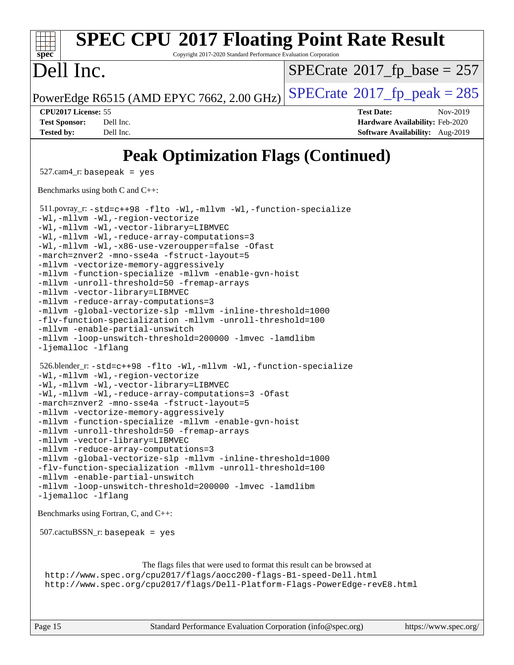#### **[spec](http://www.spec.org/) [SPEC CPU](http://www.spec.org/auto/cpu2017/Docs/result-fields.html#SPECCPU2017FloatingPointRateResult)[2017 Floating Point Rate Result](http://www.spec.org/auto/cpu2017/Docs/result-fields.html#SPECCPU2017FloatingPointRateResult)** Copyright 2017-2020 Standard Performance Evaluation Corporation Dell Inc. PowerEdge R6515 (AMD EPYC 7662, 2.00 GHz)  $\text{SPECrate}^{\circ}2017$  $\text{SPECrate}^{\circ}2017$  $\text{SPECrate}^{\circ}2017$  fp peak = 285  $SPECTate$ <sup>®</sup>[2017\\_fp\\_base =](http://www.spec.org/auto/cpu2017/Docs/result-fields.html#SPECrate2017fpbase) 257 **[CPU2017 License:](http://www.spec.org/auto/cpu2017/Docs/result-fields.html#CPU2017License)** 55 **[Test Date:](http://www.spec.org/auto/cpu2017/Docs/result-fields.html#TestDate)** Nov-2019 **[Test Sponsor:](http://www.spec.org/auto/cpu2017/Docs/result-fields.html#TestSponsor)** Dell Inc. **[Hardware Availability:](http://www.spec.org/auto/cpu2017/Docs/result-fields.html#HardwareAvailability)** Feb-2020 **[Tested by:](http://www.spec.org/auto/cpu2017/Docs/result-fields.html#Testedby)** Dell Inc. **[Software Availability:](http://www.spec.org/auto/cpu2017/Docs/result-fields.html#SoftwareAvailability)** Aug-2019 **[Peak Optimization Flags \(Continued\)](http://www.spec.org/auto/cpu2017/Docs/result-fields.html#PeakOptimizationFlags)** 527.cam4\_r: basepeak = yes [Benchmarks using both C and C++](http://www.spec.org/auto/cpu2017/Docs/result-fields.html#BenchmarksusingbothCandCXX): 511.povray\_r: [-std=c++98](http://www.spec.org/cpu2017/results/res2020q1/cpu2017-20200119-20549.flags.html#user_peakCXXLD511_povray_r_std-cpp) [-flto](http://www.spec.org/cpu2017/results/res2020q1/cpu2017-20200119-20549.flags.html#user_peakCOPTIMIZECXXOPTIMIZELDFLAGS511_povray_r_aocc-flto) [-Wl,-mllvm -Wl,-function-specialize](http://www.spec.org/cpu2017/results/res2020q1/cpu2017-20200119-20549.flags.html#user_peakLDFLAGS511_povray_r_F-function-specialize_7e7e661e57922243ee67c9a1251cb8910e607325179a0ce7f2884e09a6f5d4a5ef0ae4f37e8a2a11c95fc48e931f06dc2b6016f14b511fcb441e048bef1b065a) [-Wl,-mllvm -Wl,-region-vectorize](http://www.spec.org/cpu2017/results/res2020q1/cpu2017-20200119-20549.flags.html#user_peakLDFLAGS511_povray_r_F-region-vectorize_fb6c6b5aa293c88efc6c7c2b52b20755e943585b1fe8658c35afef78727fff56e1a56891413c30e36b8e2a6f9a71126986319243e80eb6110b78b288f533c52b) [-Wl,-mllvm -Wl,-vector-library=LIBMVEC](http://www.spec.org/cpu2017/results/res2020q1/cpu2017-20200119-20549.flags.html#user_peakLDFLAGS511_povray_r_F-use-vector-library_0a14b27fae317f283640384a31f7bfcc2bd4c1d0b5cfc618a3a430800c9b20217b00f61303eff223a3251b4f06ffbc9739dc5296db9d1fbb9ad24a3939d86d66) [-Wl,-mllvm -Wl,-reduce-array-computations=3](http://www.spec.org/cpu2017/results/res2020q1/cpu2017-20200119-20549.flags.html#user_peakLDFLAGS511_povray_r_F-reduce-array-computations_b882aefe7a5dda4e33149f6299762b9a720dace3e498e13756f4c04e5a19edf5315c1f3993de2e61ec41e8c206231f84e05da7040e1bb5d69ba27d10a12507e4) [-Wl,-mllvm -Wl,-x86-use-vzeroupper=false](http://www.spec.org/cpu2017/results/res2020q1/cpu2017-20200119-20549.flags.html#user_peakLDCXXFLAGS511_povray_r_F-no-vzeroupper_f792211b0552b0142c11cf651c85f88d7eca3e3e6d4ab29ab8b0b7be9c7d83df7aebb846b5dded1424ec84d39acb59d058815f97bc3ae9de4ba00ee4e2945c83) [-Ofast](http://www.spec.org/cpu2017/results/res2020q1/cpu2017-20200119-20549.flags.html#user_peakCOPTIMIZECXXOPTIMIZE511_povray_r_aocc-Ofast) [-march=znver2](http://www.spec.org/cpu2017/results/res2020q1/cpu2017-20200119-20549.flags.html#user_peakCOPTIMIZECXXOPTIMIZE511_povray_r_aocc-march_3e2e19cff2eeef60c5d90b059483627c9ea47eca6d66670dbd53f9185f6439e27eb5e104cf773e9e8ab18c8842ce63e461a3e948d0214bd567ef3ade411bf467) [-mno-sse4a](http://www.spec.org/cpu2017/results/res2020q1/cpu2017-20200119-20549.flags.html#user_peakCOPTIMIZE511_povray_r_F-mno-sse4a) [-fstruct-layout=5](http://www.spec.org/cpu2017/results/res2020q1/cpu2017-20200119-20549.flags.html#user_peakCOPTIMIZE511_povray_r_F-struct-layout_0de9d3561e9f54a54e0843cce081bd13a08ab3e9a82696f3346606c2e11360c37113781019b02fa128d9f650e68f1ffd209bab5c3a026c1ad23e4e7f60646b23) [-mllvm -vectorize-memory-aggressively](http://www.spec.org/cpu2017/results/res2020q1/cpu2017-20200119-20549.flags.html#user_peakCOPTIMIZE511_povray_r_F-vectorize-memory-aggressively_24b72a4417f50ade9e698c5b3bed87ab456cc6fc8ec6439480cb84f36ad6a3975af6e87206dea402e3871a1464ff3d60bc798e0250f330177ba629a260df1857) [-mllvm -function-specialize](http://www.spec.org/cpu2017/results/res2020q1/cpu2017-20200119-20549.flags.html#user_peakCOPTIMIZE511_povray_r_F-function-specialize_233b3bdba86027f1b094368157e481c5bc59f40286dc25bfadc1858dcd5745c24fd30d5f188710db7fea399bcc9f44a80b3ce3aacc70a8870250c3ae5e1f35b8) [-mllvm -enable-gvn-hoist](http://www.spec.org/cpu2017/results/res2020q1/cpu2017-20200119-20549.flags.html#user_peakCOPTIMIZE511_povray_r_F-enable-gvn-hoist_e5856354646dd6ca1333a0ad99b817e4cf8932b91b82809fd8fd47ceff7b22a89eba5c98fd3e3fa5200368fd772cec3dd56abc3c8f7b655a71b9f9848dddedd5) [-mllvm -unroll-threshold=50](http://www.spec.org/cpu2017/results/res2020q1/cpu2017-20200119-20549.flags.html#user_peakCOPTIMIZE511_povray_r_F-unroll-threshold_458874500b2c105d6d5cb4d7a611c40e2b16e9e3d26b355fea72d644c3673b4de4b3932662f0ed3dbec75c491a13da2d2ca81180bd779dc531083ef1e1e549dc) [-fremap-arrays](http://www.spec.org/cpu2017/results/res2020q1/cpu2017-20200119-20549.flags.html#user_peakCOPTIMIZE511_povray_r_F-fremap-arrays) [-mllvm -vector-library=LIBMVEC](http://www.spec.org/cpu2017/results/res2020q1/cpu2017-20200119-20549.flags.html#user_peakCOPTIMIZECXXOPTIMIZE511_povray_r_F-use-vector-library_e584e20b4f7ec96aa109254b65d8e01d864f3d68580371b9d93ed7c338191d4cfce20c3c864632264effc6bbe4c7c38153d02096a342ee92501c4a53204a7871) [-mllvm -reduce-array-computations=3](http://www.spec.org/cpu2017/results/res2020q1/cpu2017-20200119-20549.flags.html#user_peakCOPTIMIZE511_povray_r_F-reduce-array-computations_aceadb8604558b566e0e3a0d7a3c1533923dd1fa0889614e16288028922629a28d5695c24d3b3be4306b1e311c54317dfffe3a2e57fbcaabc737a1798de39145) [-mllvm -global-vectorize-slp](http://www.spec.org/cpu2017/results/res2020q1/cpu2017-20200119-20549.flags.html#user_peakCOPTIMIZE511_povray_r_F-global-vectorize-slp_a3935e8627af4ced727033b1ffd4db27f4d541a363d28d82bf4c2925fb3a0fd4115d6e42d13a2829f9e024d6608eb67a85cb49770f2da5c5ac8dbc737afad603) [-mllvm -inline-threshold=1000](http://www.spec.org/cpu2017/results/res2020q1/cpu2017-20200119-20549.flags.html#user_peakCOPTIMIZECXXOPTIMIZE511_povray_r_dragonegg-llvm-inline-threshold_b7832241b0a6397e4ecdbaf0eb7defdc10f885c2a282fa3240fdc99844d543fda39cf8a4a9dccf68cf19b5438ac3b455264f478df15da0f4988afa40d8243bab) [-flv-function-specialization](http://www.spec.org/cpu2017/results/res2020q1/cpu2017-20200119-20549.flags.html#user_peakCOPTIMIZECXXOPTIMIZE511_povray_r_F-flv-function-specialization) [-mllvm -unroll-threshold=100](http://www.spec.org/cpu2017/results/res2020q1/cpu2017-20200119-20549.flags.html#user_peakCXXOPTIMIZE511_povray_r_F-unroll-threshold_2755d0c78138845d361fa1543e3a063fffa198df9b3edf0cfb856bbc88a81e1769b12ac7a550c5d35197be55360db1a3f95a8d1304df999456cabf5120c45168) [-mllvm -enable-partial-unswitch](http://www.spec.org/cpu2017/results/res2020q1/cpu2017-20200119-20549.flags.html#user_peakCXXOPTIMIZE511_povray_r_F-enable-partial-unswitch_6e1c33f981d77963b1eaf834973128a7f33ce3f8e27f54689656697a35e89dcc875281e0e6283d043e32f367dcb605ba0e307a92e830f7e326789fa6c61b35d3) [-mllvm -loop-unswitch-threshold=200000](http://www.spec.org/cpu2017/results/res2020q1/cpu2017-20200119-20549.flags.html#user_peakCXXOPTIMIZE511_povray_r_F-loop-unswitch-threshold_f9a82ae3270e55b5fbf79d0d96ee93606b73edbbe527d20b18b7bff1a3a146ad50cfc7454c5297978340ae9213029016a7d16221274d672d3f7f42ed25274e1d) [-lmvec](http://www.spec.org/cpu2017/results/res2020q1/cpu2017-20200119-20549.flags.html#user_peakEXTRA_LIBS511_povray_r_F-lmvec) [-lamdlibm](http://www.spec.org/cpu2017/results/res2020q1/cpu2017-20200119-20549.flags.html#user_peakEXTRA_LIBS511_povray_r_F-lamdlibm) [-ljemalloc](http://www.spec.org/cpu2017/results/res2020q1/cpu2017-20200119-20549.flags.html#user_peakEXTRA_LIBS511_povray_r_jemalloc-lib) [-lflang](http://www.spec.org/cpu2017/results/res2020q1/cpu2017-20200119-20549.flags.html#user_peakEXTRA_LIBS511_povray_r_F-lflang) 526.blender\_r: [-std=c++98](http://www.spec.org/cpu2017/results/res2020q1/cpu2017-20200119-20549.flags.html#user_peakCXXLD526_blender_r_std-cpp) [-flto](http://www.spec.org/cpu2017/results/res2020q1/cpu2017-20200119-20549.flags.html#user_peakCOPTIMIZECXXOPTIMIZELDFLAGS526_blender_r_aocc-flto) [-Wl,-mllvm -Wl,-function-specialize](http://www.spec.org/cpu2017/results/res2020q1/cpu2017-20200119-20549.flags.html#user_peakLDFLAGS526_blender_r_F-function-specialize_7e7e661e57922243ee67c9a1251cb8910e607325179a0ce7f2884e09a6f5d4a5ef0ae4f37e8a2a11c95fc48e931f06dc2b6016f14b511fcb441e048bef1b065a) [-Wl,-mllvm -Wl,-region-vectorize](http://www.spec.org/cpu2017/results/res2020q1/cpu2017-20200119-20549.flags.html#user_peakLDFLAGS526_blender_r_F-region-vectorize_fb6c6b5aa293c88efc6c7c2b52b20755e943585b1fe8658c35afef78727fff56e1a56891413c30e36b8e2a6f9a71126986319243e80eb6110b78b288f533c52b) [-Wl,-mllvm -Wl,-vector-library=LIBMVEC](http://www.spec.org/cpu2017/results/res2020q1/cpu2017-20200119-20549.flags.html#user_peakLDFLAGS526_blender_r_F-use-vector-library_0a14b27fae317f283640384a31f7bfcc2bd4c1d0b5cfc618a3a430800c9b20217b00f61303eff223a3251b4f06ffbc9739dc5296db9d1fbb9ad24a3939d86d66) [-Wl,-mllvm -Wl,-reduce-array-computations=3](http://www.spec.org/cpu2017/results/res2020q1/cpu2017-20200119-20549.flags.html#user_peakLDFLAGS526_blender_r_F-reduce-array-computations_b882aefe7a5dda4e33149f6299762b9a720dace3e498e13756f4c04e5a19edf5315c1f3993de2e61ec41e8c206231f84e05da7040e1bb5d69ba27d10a12507e4) [-Ofast](http://www.spec.org/cpu2017/results/res2020q1/cpu2017-20200119-20549.flags.html#user_peakCOPTIMIZECXXOPTIMIZE526_blender_r_aocc-Ofast) [-march=znver2](http://www.spec.org/cpu2017/results/res2020q1/cpu2017-20200119-20549.flags.html#user_peakCOPTIMIZECXXOPTIMIZE526_blender_r_aocc-march_3e2e19cff2eeef60c5d90b059483627c9ea47eca6d66670dbd53f9185f6439e27eb5e104cf773e9e8ab18c8842ce63e461a3e948d0214bd567ef3ade411bf467) [-mno-sse4a](http://www.spec.org/cpu2017/results/res2020q1/cpu2017-20200119-20549.flags.html#user_peakCOPTIMIZE526_blender_r_F-mno-sse4a) [-fstruct-layout=5](http://www.spec.org/cpu2017/results/res2020q1/cpu2017-20200119-20549.flags.html#user_peakCOPTIMIZE526_blender_r_F-struct-layout_0de9d3561e9f54a54e0843cce081bd13a08ab3e9a82696f3346606c2e11360c37113781019b02fa128d9f650e68f1ffd209bab5c3a026c1ad23e4e7f60646b23) [-mllvm -vectorize-memory-aggressively](http://www.spec.org/cpu2017/results/res2020q1/cpu2017-20200119-20549.flags.html#user_peakCOPTIMIZE526_blender_r_F-vectorize-memory-aggressively_24b72a4417f50ade9e698c5b3bed87ab456cc6fc8ec6439480cb84f36ad6a3975af6e87206dea402e3871a1464ff3d60bc798e0250f330177ba629a260df1857) [-mllvm -function-specialize](http://www.spec.org/cpu2017/results/res2020q1/cpu2017-20200119-20549.flags.html#user_peakCOPTIMIZE526_blender_r_F-function-specialize_233b3bdba86027f1b094368157e481c5bc59f40286dc25bfadc1858dcd5745c24fd30d5f188710db7fea399bcc9f44a80b3ce3aacc70a8870250c3ae5e1f35b8) [-mllvm -enable-gvn-hoist](http://www.spec.org/cpu2017/results/res2020q1/cpu2017-20200119-20549.flags.html#user_peakCOPTIMIZE526_blender_r_F-enable-gvn-hoist_e5856354646dd6ca1333a0ad99b817e4cf8932b91b82809fd8fd47ceff7b22a89eba5c98fd3e3fa5200368fd772cec3dd56abc3c8f7b655a71b9f9848dddedd5) [-mllvm -unroll-threshold=50](http://www.spec.org/cpu2017/results/res2020q1/cpu2017-20200119-20549.flags.html#user_peakCOPTIMIZE526_blender_r_F-unroll-threshold_458874500b2c105d6d5cb4d7a611c40e2b16e9e3d26b355fea72d644c3673b4de4b3932662f0ed3dbec75c491a13da2d2ca81180bd779dc531083ef1e1e549dc) [-fremap-arrays](http://www.spec.org/cpu2017/results/res2020q1/cpu2017-20200119-20549.flags.html#user_peakCOPTIMIZE526_blender_r_F-fremap-arrays) [-mllvm -vector-library=LIBMVEC](http://www.spec.org/cpu2017/results/res2020q1/cpu2017-20200119-20549.flags.html#user_peakCOPTIMIZECXXOPTIMIZE526_blender_r_F-use-vector-library_e584e20b4f7ec96aa109254b65d8e01d864f3d68580371b9d93ed7c338191d4cfce20c3c864632264effc6bbe4c7c38153d02096a342ee92501c4a53204a7871) [-mllvm -reduce-array-computations=3](http://www.spec.org/cpu2017/results/res2020q1/cpu2017-20200119-20549.flags.html#user_peakCOPTIMIZE526_blender_r_F-reduce-array-computations_aceadb8604558b566e0e3a0d7a3c1533923dd1fa0889614e16288028922629a28d5695c24d3b3be4306b1e311c54317dfffe3a2e57fbcaabc737a1798de39145) [-mllvm -global-vectorize-slp](http://www.spec.org/cpu2017/results/res2020q1/cpu2017-20200119-20549.flags.html#user_peakCOPTIMIZE526_blender_r_F-global-vectorize-slp_a3935e8627af4ced727033b1ffd4db27f4d541a363d28d82bf4c2925fb3a0fd4115d6e42d13a2829f9e024d6608eb67a85cb49770f2da5c5ac8dbc737afad603) [-mllvm -inline-threshold=1000](http://www.spec.org/cpu2017/results/res2020q1/cpu2017-20200119-20549.flags.html#user_peakCOPTIMIZECXXOPTIMIZE526_blender_r_dragonegg-llvm-inline-threshold_b7832241b0a6397e4ecdbaf0eb7defdc10f885c2a282fa3240fdc99844d543fda39cf8a4a9dccf68cf19b5438ac3b455264f478df15da0f4988afa40d8243bab) [-flv-function-specialization](http://www.spec.org/cpu2017/results/res2020q1/cpu2017-20200119-20549.flags.html#user_peakCOPTIMIZECXXOPTIMIZE526_blender_r_F-flv-function-specialization) [-mllvm -unroll-threshold=100](http://www.spec.org/cpu2017/results/res2020q1/cpu2017-20200119-20549.flags.html#user_peakCXXOPTIMIZE526_blender_r_F-unroll-threshold_2755d0c78138845d361fa1543e3a063fffa198df9b3edf0cfb856bbc88a81e1769b12ac7a550c5d35197be55360db1a3f95a8d1304df999456cabf5120c45168) [-mllvm -enable-partial-unswitch](http://www.spec.org/cpu2017/results/res2020q1/cpu2017-20200119-20549.flags.html#user_peakCXXOPTIMIZE526_blender_r_F-enable-partial-unswitch_6e1c33f981d77963b1eaf834973128a7f33ce3f8e27f54689656697a35e89dcc875281e0e6283d043e32f367dcb605ba0e307a92e830f7e326789fa6c61b35d3) [-mllvm -loop-unswitch-threshold=200000](http://www.spec.org/cpu2017/results/res2020q1/cpu2017-20200119-20549.flags.html#user_peakCXXOPTIMIZE526_blender_r_F-loop-unswitch-threshold_f9a82ae3270e55b5fbf79d0d96ee93606b73edbbe527d20b18b7bff1a3a146ad50cfc7454c5297978340ae9213029016a7d16221274d672d3f7f42ed25274e1d) [-lmvec](http://www.spec.org/cpu2017/results/res2020q1/cpu2017-20200119-20549.flags.html#user_peakEXTRA_LIBS526_blender_r_F-lmvec) [-lamdlibm](http://www.spec.org/cpu2017/results/res2020q1/cpu2017-20200119-20549.flags.html#user_peakEXTRA_LIBS526_blender_r_F-lamdlibm) [-ljemalloc](http://www.spec.org/cpu2017/results/res2020q1/cpu2017-20200119-20549.flags.html#user_peakEXTRA_LIBS526_blender_r_jemalloc-lib) [-lflang](http://www.spec.org/cpu2017/results/res2020q1/cpu2017-20200119-20549.flags.html#user_peakEXTRA_LIBS526_blender_r_F-lflang) [Benchmarks using Fortran, C, and C++:](http://www.spec.org/auto/cpu2017/Docs/result-fields.html#BenchmarksusingFortranCandCXX) 507.cactuBSSN\_r: basepeak = yes [The flags files that were used to format this result can be browsed at](tmsearch) <http://www.spec.org/cpu2017/flags/aocc200-flags-B1-speed-Dell.html> <http://www.spec.org/cpu2017/flags/Dell-Platform-Flags-PowerEdge-revE8.html>